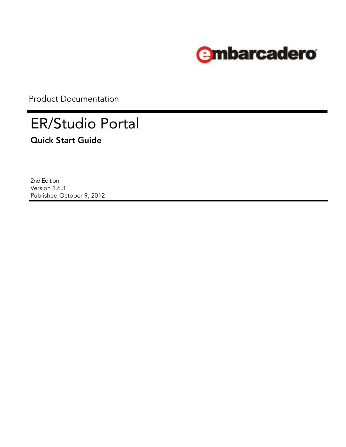

Product Documentation

# ER/Studio Portal

**Quick Start Guide**

2nd Edition Version 1.6.3 Published October 9, 2012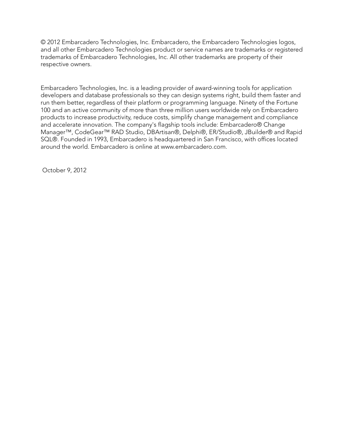© 2012 Embarcadero Technologies, Inc. Embarcadero, the Embarcadero Technologies logos, and all other Embarcadero Technologies product or service names are trademarks or registered trademarks of Embarcadero Technologies, Inc. All other trademarks are property of their respective owners.

Embarcadero Technologies, Inc. is a leading provider of award-winning tools for application developers and database professionals so they can design systems right, build them faster and run them better, regardless of their platform or programming language. Ninety of the Fortune 100 and an active community of more than three million users worldwide rely on Embarcadero products to increase productivity, reduce costs, simplify change management and compliance and accelerate innovation. The company's flagship tools include: Embarcadero® Change Manager™, CodeGear™ RAD Studio, DBArtisan®, Delphi®, ER/Studio®, JBuilder® and Rapid SQL®. Founded in 1993, Embarcadero is headquartered in San Francisco, with offices located around the world. Embarcadero is online at www.embarcadero.com.

October 9, 2012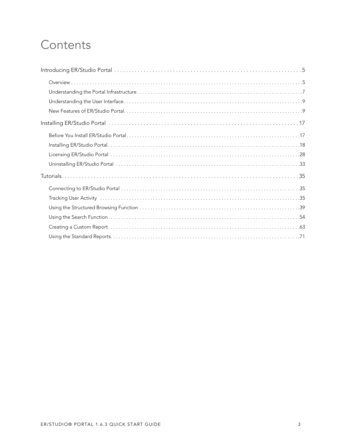# Contents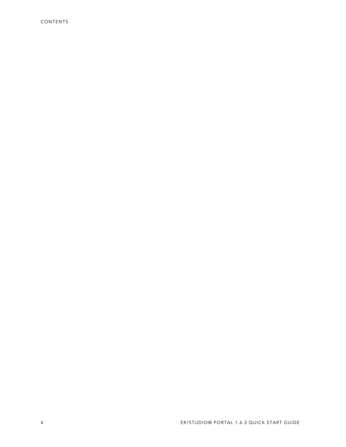CONTENTS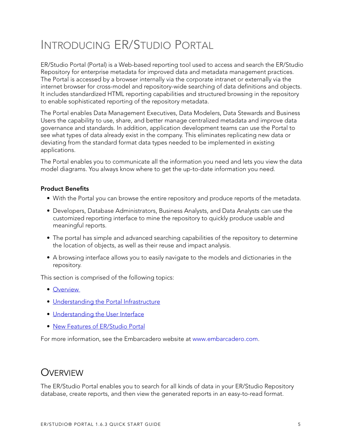# <span id="page-4-0"></span>INTRODUCING ER/STUDIO PORTAL

ER/Studio Portal (Portal) is a Web-based reporting tool used to access and search the ER/Studio Repository for enterprise metadata for improved data and metadata management practices. The Portal is accessed by a browser internally via the corporate intranet or externally via the internet browser for cross-model and repository-wide searching of data definitions and objects. It includes standardized HTML reporting capabilities and structured browsing in the repository to enable sophisticated reporting of the repository metadata.

The Portal enables Data Management Executives, Data Modelers, Data Stewards and Business Users the capability to use, share, and better manage centralized metadata and improve data governance and standards. In addition, application development teams can use the Portal to see what types of data already exist in the company. This eliminates replicating new data or deviating from the standard format data types needed to be implemented in existing applications.

The Portal enables you to communicate all the information you need and lets you view the data model diagrams. You always know where to get the up-to-date information you need.

#### **Product Benefits**

- With the Portal you can browse the entire repository and produce reports of the metadata.
- Developers, Database Administrators, Business Analysts, and Data Analysts can use the customized reporting interface to mine the repository to quickly produce usable and meaningful reports.
- The portal has simple and advanced searching capabilities of the repository to determine the location of objects, as well as their reuse and impact analysis.
- A browsing interface allows you to easily navigate to the models and dictionaries in the repository.

This section is comprised of the following topics:

- [Overview](#page-4-1)
- [Understanding the Portal Infrastructure](#page-6-0)
- [Understanding the User Interface](#page-8-0)
- [New Features of ER/Studio Portal](#page-8-1)

[For more information, see the Embarcadero website at w](www.embarcadero.com)ww.embarcadero.com.

# <span id="page-4-1"></span>**OVERVIEW**

The ER/Studio Portal enables you to search for all kinds of data in your ER/Studio Repository database, create reports, and then view the generated reports in an easy-to-read format.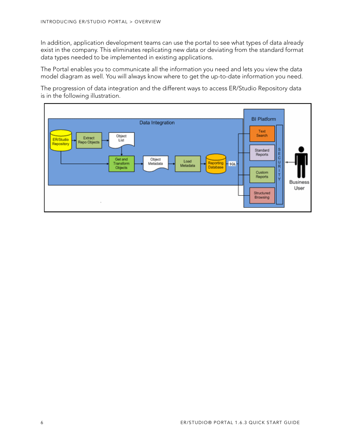In addition, application development teams can use the portal to see what types of data already exist in the company. This eliminates replicating new data or deviating from the standard format data types needed to be implemented in existing applications.

The Portal enables you to communicate all the information you need and lets you view the data model diagram as well. You will always know where to get the up-to-date information you need.

The progression of data integration and the different ways to access ER/Studio Repository data is in the following illustration.

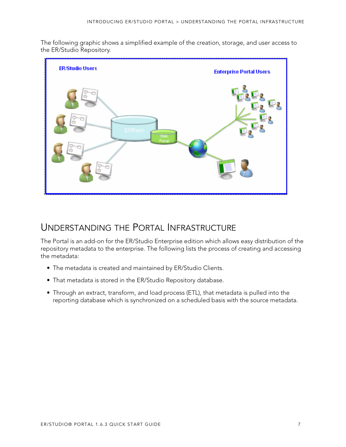The following graphic shows a simplified example of the creation, storage, and user access to the ER/Studio Repository.



### <span id="page-6-0"></span>UNDERSTANDING THE PORTAL INFRASTRUCTURE

The Portal is an add-on for the ER/Studio Enterprise edition which allows easy distribution of the repository metadata to the enterprise. The following lists the process of creating and accessing the metadata:

- The metadata is created and maintained by ER/Studio Clients.
- That metadata is stored in the ER/Studio Repository database.
- Through an extract, transform, and load process (ETL), that metadata is pulled into the reporting database which is synchronized on a scheduled basis with the source metadata.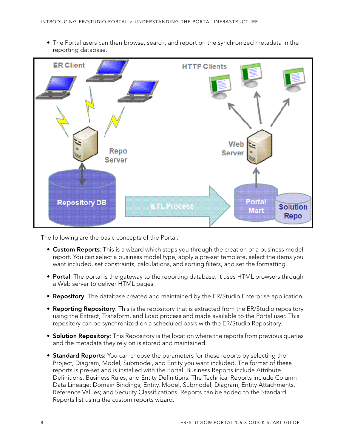• The Portal users can then browse, search, and report on the synchronized metadata in the reporting database.



The following are the basic concepts of the Portal:

- **Custom Reports**: This is a wizard which steps you through the creation of a business model report. You can select a business model type, apply a pre-set template, select the items you want included, set constraints, calculations, and sorting filters, and set the formatting.
- **Portal**: The portal is the gateway to the reporting database. It uses HTML browsers through a Web server to deliver HTML pages.
- **Repository**: The database created and maintained by the ER/Studio Enterprise application.
- **Reporting Repository**: This is the repository that is extracted from the ER/Studio repository using the Extract, Transform, and Load process and made available to the Portal user. This repository can be synchronized on a scheduled basis with the ER/Studio Repository.
- **Solution Repository**: This Repository is the location where the reports from previous queries and the metadata they rely on is stored and maintained.
- **Standard Reports:** You can choose the parameters for these reports by selecting the Project, Diagram, Model, Submodel, and Entity you want included. The format of these reports is pre-set and is installed with the Portal. Business Reports include Attribute Definitions, Business Rules, and Entity Definitions. The Technical Reports include Column Data Lineage; Domain Bindings; Entity, Model, Submodel, Diagram; Entity Attachments, Reference Values; and Security Classifications. Reports can be added to the Standard Reports list using the custom reports wizard.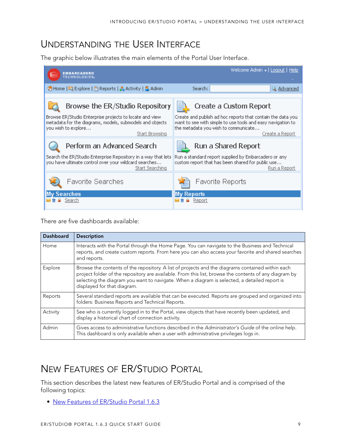# <span id="page-8-0"></span>UNDERSTANDING THE USER INTERFACE

The graphic below illustrates the main elements of the Portal User Interface.

| <b>EMBARCADERO</b><br>TECHNOLOGIES.                                                                                                                                     | Welcome Admin v   Logout   Help                                                                                                                                                       |
|-------------------------------------------------------------------------------------------------------------------------------------------------------------------------|---------------------------------------------------------------------------------------------------------------------------------------------------------------------------------------|
| 수 Home   국 Explore   그 Reports   홍 Activity   오 Admin                                                                                                                   | Search:<br>Q Advanced                                                                                                                                                                 |
| Browse the ER/Studio Repository                                                                                                                                         | Create a Custom Report                                                                                                                                                                |
| Browse ER/Studio Enterprise projects to locate and view-<br>metadata for the diagrams, models, submodels and objects<br>you wish to explore<br>Start Browsing           | Create and publish ad hoc reports that contain the data you<br>want to see with simple to use tools and easy navigation to<br>the metadata you wish to communicate<br>Create a Report |
| Perform an Advanced Search<br>Search the ER/Studio Enterprise Repository in a way that lets<br>you have ultimate control over your wildcard searches<br>Start Searching | Run a Shared Report<br>Run a standard report supplied by Embarcadero or any<br>custom report that has been shared for public use<br>Run a Report                                      |
| Favorite Searches                                                                                                                                                       | Favorite Reports                                                                                                                                                                      |
| <b>Searches</b><br>Search                                                                                                                                               | <b>Reports</b><br>Report                                                                                                                                                              |

There are five dashboards available:

| <b>Dashboard</b> | <b>Description</b>                                                                                                                                                                                                                                                                                                                       |
|------------------|------------------------------------------------------------------------------------------------------------------------------------------------------------------------------------------------------------------------------------------------------------------------------------------------------------------------------------------|
| Home             | Interacts with the Portal through the Home Page. You can navigate to the Business and Technical<br>reports, and create custom reports. From here you can also access your favorite and shared searches<br>and reports.                                                                                                                   |
| Explore          | Browse the contents of the repository. A list of projects and the diagrams contained within each<br>project folder of the repository are available. From this list, browse the contents of any diagram by<br>selecting the diagram you want to navigate. When a diagram is selected, a detailed report is<br>displayed for that diagram. |
| Reports          | Several standard reports are available that can be executed. Reports are grouped and organized into<br>folders: Business Reports and Technical Reports.                                                                                                                                                                                  |
| Activity         | See who is currently logged in to the Portal, view objects that have recently been updated, and<br>display a historical chart of connection activity.                                                                                                                                                                                    |
| Admin            | Gives access to administrative functions described in the Administrator's Guide of the online help.<br>This dashboard is only available when a user with administrative privileges logs in.                                                                                                                                              |

# <span id="page-8-1"></span>NEW FEATURES OF ER/STUDIO PORTAL

This section describes the latest new features of ER/Studio Portal and is comprised of the following topics:

• [New Features of ER/Studio Portal 1.6.3](#page-9-0)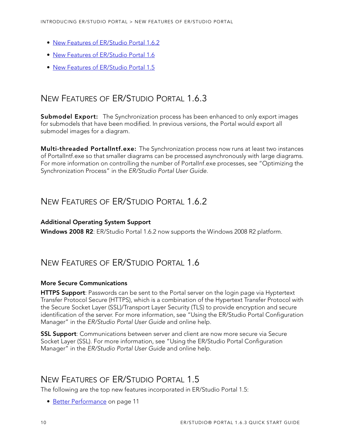- [New Features of ER/Studio Portal 1.6.2](#page-9-3)
- [New Features of ER/Studio Portal 1.6](#page-9-1)
- [New Features of ER/Studio Portal 1.5](#page-9-2)

## <span id="page-9-0"></span>NEW FEATURES OF ER/STUDIO PORTAL 1.6.3

**Submodel Export:** The Synchronization process has been enhanced to only export images for submodels that have been modified. In previous versions, the Portal would export all submodel images for a diagram.

**Multi-threaded PortalIntf.exe:** The Synchronization process now runs at least two instances of PortalIntf.exe so that smaller diagrams can be processed asynchronously with large diagrams. For more information on controlling the number of PortalInf.exe processes, see "Optimizing the Synchronization Process" in the ER/Studio Portal User Guide.

## <span id="page-9-3"></span>NEW FEATURES OF ER/STUDIO PORTAL 1.6.2

#### **Additional Operating System Support**

**Windows 2008 R2**: ER/Studio Portal 1.6.2 now supports the Windows 2008 R2 platform.

# <span id="page-9-1"></span>NEW FEATURES OF ER/STUDIO PORTAL 1.6

#### **More Secure Communications**

**HTTPS Support**: Passwords can be sent to the Portal server on the login page via Hyptertext Transfer Protocol Secure (HTTPS), which is a combination of the Hypertext Transfer Protocol with the Secure Socket Layer (SSL)/Transport Layer Security (TLS) to provide encryption and secure identification of the server. For more information, see "Using the ER/Studio Portal Configuration Manager" in the ER/Studio Portal User Guide and online help.

**SSL Support**: Communications between server and client are now more secure via Secure Socket Layer (SSL). For more information, see "Using the ER/Studio Portal Configuration Manager" in the ER/Studio Portal User Guide and online help.

# <span id="page-9-2"></span>NEW FEATURES OF ER/STUDIO PORTAL 1.5

The following are the top new features incorporated in ER/Studio Portal 1.5:

• [Better Performance on page 11](#page-10-0)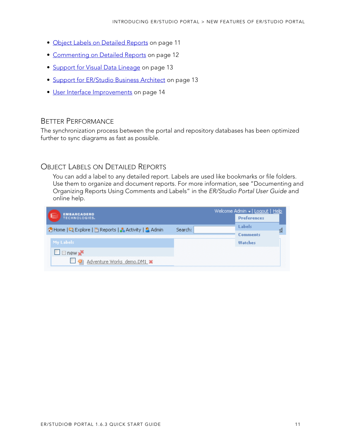- [Object Labels on Detailed Reports on page 11](#page-10-1)
- [Commenting on Detailed Reports on page 12](#page-11-0)
- [Support for Visual Data Lineage on page 13](#page-12-0)
- [Support for ER/Studio Business Architect on page 13](#page-12-1)
- [User Interface Improvements on page 14](#page-13-0)

#### <span id="page-10-0"></span>BETTER PERFORMANCE

The synchronization process between the portal and repository databases has been optimized further to sync diagrams as fast as possible.

#### <span id="page-10-1"></span>OBJECT LABELS ON DETAILED REPORTS

You can add a label to any detailed report. Labels are used like bookmarks or file folders. Use them to organize and document reports. For more information, see "Documenting and Organizing Reports Using Comments and Labels" in the ER/Studio Portal User Guide and online help.

| <b>EMBARCADERO</b>                                    | Welcome Admin +   Logout   Help |  |
|-------------------------------------------------------|---------------------------------|--|
|                                                       | <b>Preferences</b>              |  |
| 수 Home   국 Explore   출 Reports   총 Activity   오 Admin | Labels<br>Search:               |  |
|                                                       | <b>Comments</b>                 |  |
| My Labels                                             | Watches                         |  |
| $\Box$ $\Box$ new $\chi$                              |                                 |  |
| Adventure Works demo.DM1 X                            |                                 |  |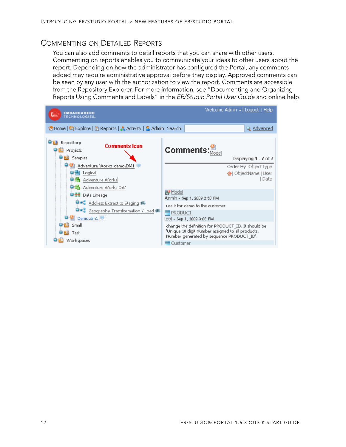### <span id="page-11-0"></span>COMMENTING ON DETAILED REPORTS

You can also add comments to detail reports that you can share with other users. Commenting on reports enables you to communicate your ideas to other users about the report. Depending on how the administrator has configured the Portal, any comments added may require administrative approval before they display. Approved comments can be seen by any user with the authorization to view the report. Comments are accessible from the Repository Explorer. For more information, see "Documenting and Organizing Reports Using Comments and Labels" in the ER/Studio Portal User Guide and online help.

| <b>EMBARCADERO</b><br>TECHNOLOGI                                                                                   | Welcome Admin +   Logout   Help                                                                                                                                                                  |
|--------------------------------------------------------------------------------------------------------------------|--------------------------------------------------------------------------------------------------------------------------------------------------------------------------------------------------|
| 수 Home   국 Explore   El Reports   총 Activity   오 Admin Search:<br><b>Q</b> Advanced                                |                                                                                                                                                                                                  |
| Repository<br><b>Comments Icon</b><br>Projects                                                                     | <b>Comments:</b>                                                                                                                                                                                 |
| Samples<br>Adventure Works demo.DM1<br><b>D国</b> Logical<br>● ddventure Works<br>● 请 Adventure Works DW            | Displaying 1 - 7 of 7<br>Order By: ObjectType<br>← ObjectName   User<br>1 Date                                                                                                                   |
| <b>OHEN</b> Data Lineage<br><b>Ont"</b> Address Extract to Staging #<br><b>Ont</b> Geography Transformation / Load | 图 Model<br>Admin - Sep 1, 2009 2:50 PM<br>use it for demo to the customer<br><b>F</b> PRODUCT                                                                                                    |
| Demo.dm1 <sup>[99]</sup><br>Small<br>Test<br>Workspaces                                                            | test - Sep 1, 2009 3:08 PM<br>change the definition for PRODUCT_ID. It should be<br>'Unique 10 digit number assigned to all products.<br>Number generated by sequence PRODUCT_ID',<br>⊟ Customer |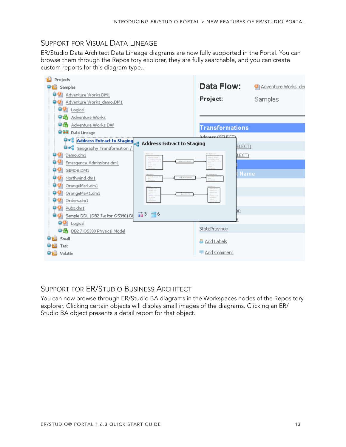### <span id="page-12-0"></span>SUPPORT FOR VISUAL DATA LINEAGE

ER/Studio Data Architect Data Lineage diagrams are now fully supported in the Portal. You can browse them through the Repository explorer, they are fully searchable, and you can create custom reports for this diagram type..



### <span id="page-12-1"></span>SUPPORT FOR ER/STUDIO BUSINESS ARCHITECT

You can now browse through ER/Studio BA diagrams in the Workspaces nodes of the Repository explorer. Clicking certain objects will display small images of the diagrams. Clicking an ER/ Studio BA object presents a detail report for that object.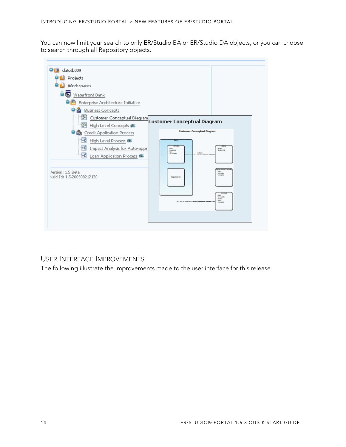You can now limit your search to only ER/Studio BA or ER/Studio DA objects, or you can choose to search through all Repository objects.



### <span id="page-13-0"></span>USER INTERFACE IMPROVEMENTS

The following illustrate the improvements made to the user interface for this release.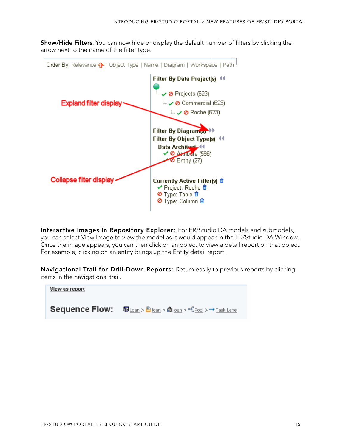**Show/Hide Filters**: You can now hide or display the default number of filters by clicking the arrow next to the name of the filter type.



**Interactive images in Repository Explorer:** For ER/Studio DA models and submodels, you can select View Image to view the model as it would appear in the ER/Studio DA Window. Once the image appears, you can then click on an object to view a detail report on that object. For example, clicking on an entity brings up the Entity detail report.

**Navigational Trail for Drill-Down Reports:** Return easily to previous reports by clicking items in the navigational trail.

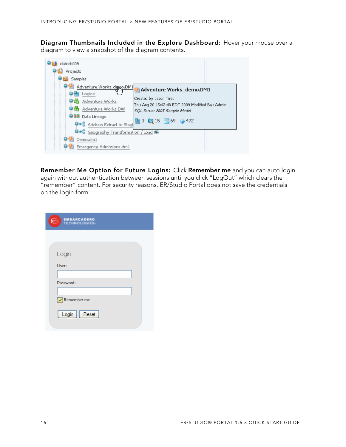**Diagram Thumbnails Included in the Explore Dashboard:** Hover your mouse over a diagram to view a snapshot of the diagram contents.

| datotb009<br>Projects<br>Samples                                                                                                                          |                                                                                                                                                                                            |  |
|-----------------------------------------------------------------------------------------------------------------------------------------------------------|--------------------------------------------------------------------------------------------------------------------------------------------------------------------------------------------|--|
| Adventure Works_demo.DM1<br>Logical<br>□ dig Adventure Works<br>□语 Adventure Works DW<br><b>O MH</b> Data Lineage<br><b>Only</b> Address Extract to Stagi | Adventure Works_demo.DM1<br>Created by Jason Tiret<br>Thu Aug 20 15:42:48 EDT 2009 Modified By: Admin<br>SQL Server 2005 Sample Model<br>中3<br>$\frac{6}{2}$ 15 $\frac{12}{2}$ 69<br>△ 472 |  |
| □咄 Geography Transformation / Load 喬<br>Demo.dm1<br>Emergency Admissions.dm1                                                                              |                                                                                                                                                                                            |  |

**Remember Me Option for Future Logins:** Click **Remember me** and you can auto login again without authentication between sessions until you click "LogOut" which clears the "remember" content. For security reasons, ER/Studio Portal does not save the credentials on the login form.

| <b>EMBARCADERO</b><br>E<br><b>TECHNOLOGIES.</b> |
|-------------------------------------------------|
|                                                 |
| Login                                           |
| User:                                           |
| Password:                                       |
| Remember me                                     |
| Login   Reset                                   |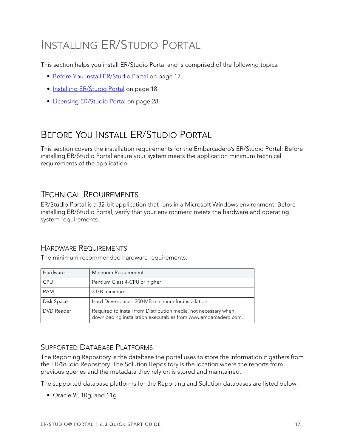# <span id="page-16-0"></span>INSTALLING ER/STUDIO PORTAL

This section helps you install ER/Studio Portal and is comprised of the following topics:

- [Before You Install ER/Studio Portal on page 17](#page-16-1)
- [Installing ER/Studio Portal on page 18](#page-17-0)
- [Licensing ER/Studio Portal on page 28](#page-27-0)

# <span id="page-16-1"></span>BEFORE YOU INSTALL ER/STUDIO PORTAL

This section covers the installation requirements for the Embarcadero's ER/Studio Portal. Before installing ER/Studio Portal ensure your system meets the application minimum technical requirements of the application.

## TECHNICAL REQUIREMENTS

ER/Studio Portal is a 32-bit application that runs in a Microsoft Windows environment. Before installing ER/Studio Portal, verify that your environment meets the hardware and operating system requirements.

### HARDWARE REQUIREMENTS

The minimum recommended hardware requirements:

| Hardware          | Minimum Requirement                                                                                                               |
|-------------------|-----------------------------------------------------------------------------------------------------------------------------------|
| <b>CPU</b>        | Pentium Class 4-CPU or higher                                                                                                     |
| <b>RAM</b>        | 3 GB minimum                                                                                                                      |
| Disk Space        | Hard Drive space - 300 MB minimum for installation                                                                                |
| <b>DVD</b> Reader | Required to install from Distribution media, not necessary when<br>downloading installation executables from www.embarcadero.com. |

### SUPPORTED DATABASE PLATFORMS

The Reporting Repository is the database the portal uses to store the information it gathers from the ER/Studio Repository. The Solution Repository is the location where the reports from previous queries and the metadata they rely on is stored and maintained.

The supported database platforms for the Reporting and Solution databases are listed below:

• Oracle 9i, 10g, and 11g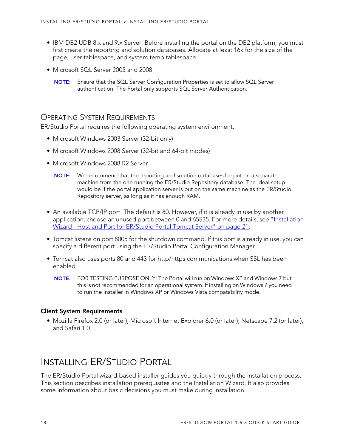- IBM DB2 UDB 8.x and 9.x Server: Before installing the portal on the DB2 platform, you must first create the reporting and solution databases. Allocate at least 16k for the size of the page, user tablespace, and system temp tablespace.
- Microsoft SOL Server 2005 and 2008
	- **NOTE:** Ensure that the SQL Server Configuration Properties is set to allow SQL Server authentication. The Portal only supports SQL Server Authentication.

### OPERATING SYSTEM REQUIREMENTS

ER/Studio Portal requires the following operating system environment:

- Microsoft Windows 2003 Server (32-bit only)
- Microsoft Windows 2008 Server (32-bit and 64-bit modes)
- Microsoft Windows 2008 R2 Server
	- **NOTE:** We recommend that the reporting and solution databases be put on a separate machine from the one running the ER/Studio Repository database. The ideal setup would be if the portal application server is put on the same machine as the ER/Studio Repository server, as long as it has enough RAM.
- An available TCP/IP port. The default is 80. However, if it is already in use by another application, choose an unused port between 0 and 65535. For more details, see *"Installation* [Wizard - Host and Port for ER/Studio Portal Tomcat Server" on page 21](#page-20-0).
- Tomcat listens on port 8005 for the shutdown command. If this port is already in use, you can specify a different port using the ER/Studio Portal Configuration Manager..
- Tomcat also uses ports 80 and 443 for http/https communications when SSL has been enabled.
	- **NOTE:** FOR TESTING PURPOSE ONLY: The Portal will run on Windows XP and Windows 7 but this is not recommended for an operational system. If installing on Windows 7 you need to run the installer in Windows XP or Windows Vista compatability mode.

#### <span id="page-17-1"></span>**Client System Requirements**

• Mozilla Firefox 2.0 (or later), Microsoft Internet Explorer 6.0 (or later), Netscape 7.2 (or later), and Safari 1.0.

# <span id="page-17-0"></span>INSTALLING ER/STUDIO PORTAL

The ER/Studio Portal wizard-based installer guides you quickly through the installation process. This section describes installation prerequisites and the Installation Wizard. It also provides some information about basic decisions you must make during installation.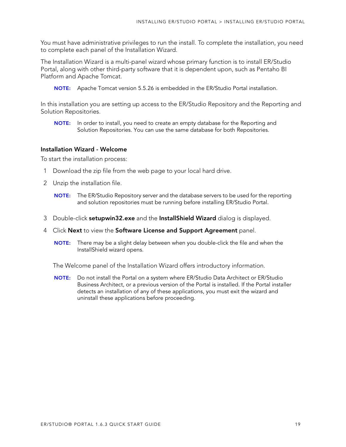You must have administrative privileges to run the install. To complete the installation, you need to complete each panel of the Installation Wizard.

The Installation Wizard is a multi-panel wizard whose primary function is to install ER/Studio Portal, along with other third-party software that it is dependent upon, such as Pentaho BI Platform and Apache Tomcat.

**NOTE:** Apache Tomcat version 5.5.26 is embedded in the ER/Studio Portal installation.

In this installation you are setting up access to the ER/Studio Repository and the Reporting and Solution Repositories.

**NOTE:** In order to install, you need to create an empty database for the Reporting and Solution Repositories. You can use the same database for both Repositories.

#### **Installation Wizard - Welcome**

To start the installation process:

- 1 Download the zip file from the web page to your local hard drive.
- 2 Unzip the installation file.
	- **NOTE:** The ER/Studio Repository server and the database servers to be used for the reporting and solution repositories must be running before installing ER/Studio Portal.
- 3 Double-click **setupwin32.exe** and the **InstallShield Wizard** dialog is displayed.
- 4 Click **Next** to view the **Software License and Support Agreement** panel.
	- **NOTE:** There may be a slight delay between when you double-click the file and when the InstallShield wizard opens.

The Welcome panel of the Installation Wizard offers introductory information.

**NOTE:** Do not install the Portal on a system where ER/Studio Data Architect or ER/Studio Business Architect, or a previous version of the Portal is installed. If the Portal installer detects an installation of any of these applications, you must exit the wizard and uninstall these applications before proceeding.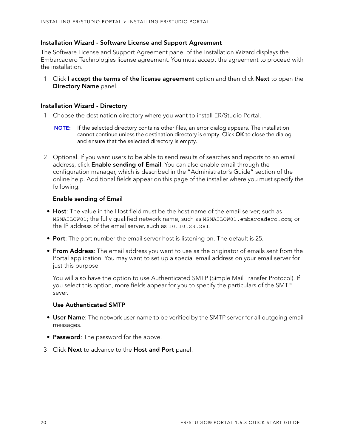#### **Installation Wizard - Software License and Support Agreement**

The Software License and Support Agreement panel of the Installation Wizard displays the Embarcadero Technologies license agreement. You must accept the agreement to proceed with the installation.

1 Click **I accept the terms of the license agreement** option and then click **Next** to open the **Directory Name** panel.

#### **Installation Wizard - Directory**

- 1 Choose the destination directory where you want to install ER/Studio Portal.
	- **NOTE:** If the selected directory contains other files, an error dialog appears. The installation cannot continue unless the destination directory is empty. Click **OK** to close the dialog and ensure that the selected directory is empty.
- 2 Optional. If you want users to be able to send results of searches and reports to an email address, click **Enable sending of Email**. You can also enable email through the configuration manager, which is described in the "Administrator's Guide" section of the online help. Additional fields appear on this page of the installer where you must specify the following:

#### **Enable sending of Email**

- **Host**: The value in the Host field must be the host name of the email server; such as MSMAILOW01; the fully qualified network name, such as MSMAILOW01.embarcadero.com; or the IP address of the email server, such as 10.10.23.281.
- **Port**: The port number the email server host is listening on. The default is 25.
- **From Address**: The email address you want to use as the originator of emails sent from the Portal application. You may want to set up a special email address on your email server for just this purpose.

You will also have the option to use Authenticated SMTP (Simple Mail Transfer Protocol). If you select this option, more fields appear for you to specify the particulars of the SMTP sever.

#### **Use Authenticated SMTP**

- **User Name**: The network user name to be verified by the SMTP server for all outgoing email messages.
- **Password**: The password for the above.
- 3 Click **Next** to advance to the **Host and Port** panel.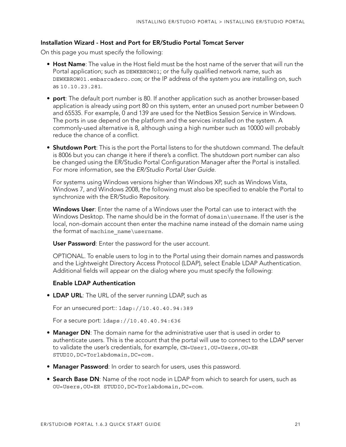#### <span id="page-20-1"></span><span id="page-20-0"></span>**Installation Wizard - Host and Port for ER/Studio Portal Tomcat Server**

On this page you must specify the following:

- **Host Name**: The value in the Host field must be the host name of the server that will run the Portal application; such as DEWKBROW01; or the fully qualified network name, such as DEWKBROW01.embarcadero.com; or the IP address of the system you are installing on, such as 10.10.23.281.
- **port**: The default port number is 80. If another application such as another browser-based application is already using port 80 on this system, enter an unused port number between 0 and 65535. For example, 0 and 139 are used for the NetBios Session Service in Windows. The ports in use depend on the platform and the services installed on the system. A commonly-used alternative is 8, although using a high number such as 10000 will probably reduce the chance of a conflict.
- **Shutdown Port**: This is the port the Portal listens to for the shutdown command. The default is 8006 but you can change it here if there's a conflict. The shutdown port number can also be changed using the ER/Studio Portal Configuration Manager after the Portal is installed. For more information, see the ER/Studio Portal User Guide.

For systems using Windows versions higher than Windows XP, such as Windows Vista, Windows 7, and Windows 2008, the following must also be specified to enable the Portal to synchronize with the ER/Studio Repository.

**Windows User**: Enter the name of a Windows user the Portal can use to interact with the Windows Desktop. The name should be in the format of domain\username. If the user is the local, non-domain account then enter the machine name instead of the domain name using the format of machine name\username.

**User Password**: Enter the password for the user account.

OPTIONAL. To enable users to log in to the Portal using their domain names and passwords and the Lightweight Directory Access Protocol (LDAP), select Enable LDAP Authentication. Additional fields will appear on the dialog where you must specify the following:

#### **Enable LDAP Authentication**

• **LDAP URL**: The URL of the server running LDAP, such as

For an unsecured port:: ldap://10.40.40.94:389

For a secure port: ldaps://10.40.40.94:636

- **Manager DN**: The domain name for the administrative user that is used in order to authenticate users. This is the account that the portal will use to connect to the LDAP server to validate the user's credentials, for example, CN=User1, OU=Users, OU=ER STUDIO,DC=Torlabdomain,DC=com.
- **Manager Password**: In order to search for users, uses this password.
- **Search Base DN**: Name of the root node in LDAP from which to search for users, such as OU=Users,OU=ER STUDIO,DC=Torlabdomain,DC=com.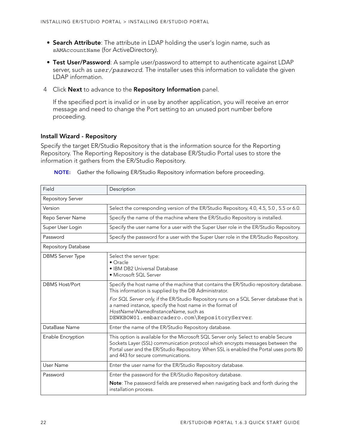- **Search Attribute**: The attribute in LDAP holding the user's login name, such as sAMAccountName (for ActiveDirectory).
- **Test User/Password**: A sample user/password to attempt to authenticate against LDAP server, such as *user/password*. The installer uses this information to validate the given LDAP information.
- 4 Click **Next** to advance to the **Repository Information** panel.

If the specified port is invalid or in use by another application, you will receive an error message and need to change the Port setting to an unused port number before proceeding.

#### **Install Wizard - Repository**

Specify the target ER/Studio Repository that is the information source for the Reporting Repository. The Reporting Repository is the database ER/Studio Portal uses to store the information it gathers from the ER/Studio Repository.

| Field                    | Description                                                                                                                                                                                                                                                                                                                                                                                |
|--------------------------|--------------------------------------------------------------------------------------------------------------------------------------------------------------------------------------------------------------------------------------------------------------------------------------------------------------------------------------------------------------------------------------------|
| <b>Repository Server</b> |                                                                                                                                                                                                                                                                                                                                                                                            |
| Version                  | Select the corresponding version of the ER/Studio Repository, 4.0, 4.5, 5.0, 5.5 or 6.0.                                                                                                                                                                                                                                                                                                   |
| Repo Server Name         | Specify the name of the machine where the ER/Studio Repository is installed.                                                                                                                                                                                                                                                                                                               |
| Super User Login         | Specify the user name for a user with the Super User role in the ER/Studio Repository.                                                                                                                                                                                                                                                                                                     |
| Password                 | Specify the password for a user with the Super User role in the ER/Studio Repository.                                                                                                                                                                                                                                                                                                      |
| Repository Database      |                                                                                                                                                                                                                                                                                                                                                                                            |
| <b>DBMS</b> Server Type  | Select the server type:<br>$\bullet$ Oracle<br>• IBM DB2 Universal Database<br>• Microsoft SQL Server                                                                                                                                                                                                                                                                                      |
| <b>DBMS Host/Port</b>    | Specify the host name of the machine that contains the ER/Studio repository database.<br>This information is supplied by the DB Administrator.<br>For SQL Server only, if the ER/Studio Repository runs on a SQL Server database that is<br>a named instance, specify the host name in the format of<br>HostName\NamedInstanceName, such as<br>DEWKBOW01.embarcadero.com\RepositoryServer. |
| DataBase Name            | Enter the name of the ER/Studio Repository database.                                                                                                                                                                                                                                                                                                                                       |
| Enable Encryption        | This option is available for the Microsoft SQL Server only. Select to enable Secure<br>Sockets Layer (SSL) communication protocol which encrypts messages between the<br>Portal user and the ER/Studio Repository. When SSL is enabled the Portal uses ports 80<br>and 443 for secure communications.                                                                                      |
| User Name                | Enter the user name for the ER/Studio Repository database.                                                                                                                                                                                                                                                                                                                                 |
| Password                 | Enter the password for the ER/Studio Repository database.<br>Note: The password fields are preserved when navigating back and forth during the<br>installation process.                                                                                                                                                                                                                    |

**NOTE:** Gather the following ER/Studio Repository information before proceeding.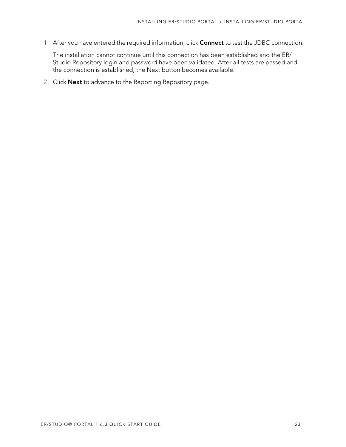1 After you have entered the required information, click **Connect** to test the JDBC connection.

The installation cannot continue until this connection has been established and the ER/ Studio Repository login and password have been validated. After all tests are passed and the connection is established, the Next button becomes available.

2 Click **Next** to advance to the Reporting Repository page.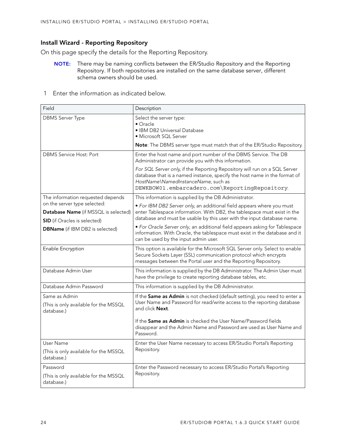#### **Install Wizard - Reporting Repository**

On this page specify the details for the Reporting Repository.

- **NOTE:** There may be naming conflicts between the ER/Studio Repository and the Reporting Repository. If both repositories are installed on the same database server, different schema owners should be used.
- 1 Enter the information as indicated below.

| Field                                                                                                                                                                                      | Description                                                                                                                                                                                                                                                                                                                                                                                                                                                                               |
|--------------------------------------------------------------------------------------------------------------------------------------------------------------------------------------------|-------------------------------------------------------------------------------------------------------------------------------------------------------------------------------------------------------------------------------------------------------------------------------------------------------------------------------------------------------------------------------------------------------------------------------------------------------------------------------------------|
| <b>DBMS</b> Server Type                                                                                                                                                                    | Select the server type:<br>• Oracle<br>• IBM DB2 Universal Database<br>• Microsoft SQL Server                                                                                                                                                                                                                                                                                                                                                                                             |
|                                                                                                                                                                                            | Note: The DBMS server type must match that of the ER/Studio Repository.                                                                                                                                                                                                                                                                                                                                                                                                                   |
| <b>DBMS</b> Service Host: Port                                                                                                                                                             | Enter the host name and port number of the DBMS Service. The DB<br>Administrator can provide you with this information.<br>For SQL Server only, if the Reporting Repository will run on a SQL Server<br>database that is a named instance, specify the host name in the format of<br>HostName\NamedInstanceName, such as<br>DEWKBOW01.embarcadero.com\ReportingRepository.                                                                                                                |
| The information requested depends<br>on the server type selected:<br>Database Name (if MSSQL is selected)<br><b>SID</b> (if Oracles is selected)<br><b>DBName</b> (if IBM DB2 is selected) | This information is supplied by the DB Administrator.<br>• For IBM DB2 Server only, an additional field appears where you must<br>enter Tablespace information. With DB2, the tablespace must exist in the<br>database and must be usable by this user with the input database name.<br>• For Oracle Server only, an additional field appears asking for Tablespace<br>information. With Oracle, the tablespace must exist in the database and it<br>can be used by the input admin user. |
| Enable Encryption                                                                                                                                                                          | This option is available for the Microsoft SQL Server only. Select to enable<br>Secure Sockets Layer (SSL) communication protocol which encrypts<br>messages between the Portal user and the Reporting Repository.                                                                                                                                                                                                                                                                        |
| Database Admin User                                                                                                                                                                        | This information is supplied by the DB Administrator. The Admin User must<br>have the privilege to create reporting database tables, etc.                                                                                                                                                                                                                                                                                                                                                 |
| Database Admin Password                                                                                                                                                                    | This information is supplied by the DB Administrator.                                                                                                                                                                                                                                                                                                                                                                                                                                     |
| Same as Admin<br>(This is only available for the MSSQL<br>database.)                                                                                                                       | If the Same as Admin is not checked (default setting), you need to enter a<br>User Name and Password for read/write access to the reporting database<br>and click Next.<br>If the Same as Admin is checked the User Name/Password fields<br>disappear and the Admin Name and Password are used as User Name and<br>Password.                                                                                                                                                              |
| User Name<br>(This is only available for the MSSQL<br>database.)                                                                                                                           | Enter the User Name necessary to access ER/Studio Portal's Reporting<br>Repository.                                                                                                                                                                                                                                                                                                                                                                                                       |
| Password<br>(This is only available for the MSSQL<br>database.)                                                                                                                            | Enter the Password necessary to access ER/Studio Portal's Reporting<br>Repository.                                                                                                                                                                                                                                                                                                                                                                                                        |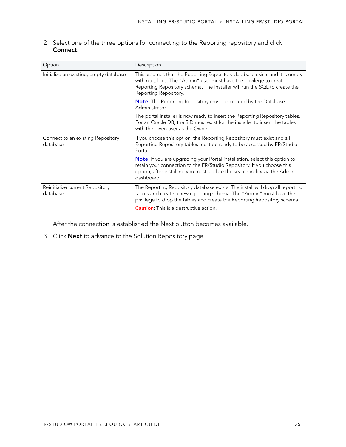2 Select one of the three options for connecting to the Reporting repository and click **Connect**.

| Option                                        | Description                                                                                                                                                                                                                                                                       |
|-----------------------------------------------|-----------------------------------------------------------------------------------------------------------------------------------------------------------------------------------------------------------------------------------------------------------------------------------|
| Initialize an existing, empty database        | This assumes that the Reporting Repository database exists and it is empty<br>with no tables. The "Admin" user must have the privilege to create<br>Reporting Repository schema. The Installer will run the SQL to create the<br>Reporting Repository.                            |
|                                               | <b>Note:</b> The Reporting Repository must be created by the Database<br>Administrator.                                                                                                                                                                                           |
|                                               | The portal installer is now ready to insert the Reporting Repository tables.<br>For an Oracle DB, the SID must exist for the installer to insert the tables<br>with the given user as the Owner.                                                                                  |
| Connect to an existing Repository<br>database | If you choose this option, the Reporting Repository must exist and all<br>Reporting Repository tables must be ready to be accessed by ER/Studio<br>Portal.                                                                                                                        |
|                                               | Note: If you are upgrading your Portal installation, select this option to<br>retain your connection to the ER/Studio Repository. If you choose this<br>option, after installing you must update the search index via the Admin<br>dashboard.                                     |
| Reinitialize current Repository<br>database   | The Reporting Repository database exists. The install will drop all reporting<br>tables and create a new reporting schema. The "Admin" must have the<br>privilege to drop the tables and create the Reporting Repository schema.<br><b>Caution:</b> This is a destructive action. |
|                                               |                                                                                                                                                                                                                                                                                   |

After the connection is established the Next button becomes available.

3 Click **Next** to advance to the Solution Repository page.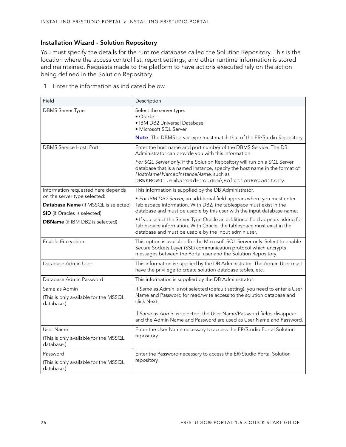#### **Installation Wizard - Solution Repository**

You must specify the details for the runtime database called the Solution Repository. This is the location where the access control list, report settings, and other runtime information is stored and maintained. Requests made to the platform to have actions executed rely on the action being defined in the Solution Repository.

1 Enter the information as indicated below.

| Field                                                                                                                                                 | Description                                                                                                                                                                                                                                   |  |
|-------------------------------------------------------------------------------------------------------------------------------------------------------|-----------------------------------------------------------------------------------------------------------------------------------------------------------------------------------------------------------------------------------------------|--|
| <b>DBMS</b> Server Type                                                                                                                               | Select the server type:<br>$\bullet$ Oracle<br>• IBM DB2 Universal Database<br>• Microsoft SQL Server                                                                                                                                         |  |
|                                                                                                                                                       | Note: The DBMS server type must match that of the ER/Studio Repository.                                                                                                                                                                       |  |
| <b>DBMS Service Host: Port</b>                                                                                                                        | Enter the host name and port number of the DBMS Service. The DB<br>Administrator can provide you with this information.                                                                                                                       |  |
|                                                                                                                                                       | For SQL Server only, if the Solution Repository will run on a SQL Server<br>database that is a named instance, specify the host name in the format of<br>HostName\NamedInstanceName, such as<br>DEWKBOW01.embarcadero.com\SolutionRepository. |  |
| Information requested here depends                                                                                                                    | This information is supplied by the DB Administrator.                                                                                                                                                                                         |  |
| on the server type selected:<br>Database Name (if MSSQL is selected)<br><b>SID</b> (if Oracles is selected)<br><b>DBName</b> (if IBM DB2 is selected) | • For IBM DB2 Server, an additional field appears where you must enter<br>Tablespace information. With DB2, the tablespace must exist in the<br>database and must be usable by this user with the input database name.                        |  |
|                                                                                                                                                       | • If you select the Server Type Oracle an additional field appears asking for<br>Tablespace information. With Oracle, the tablespace must exist in the<br>database and must be usable by the input admin user.                                |  |
| Enable Encryption                                                                                                                                     | This option is available for the Microsoft SQL Server only. Select to enable<br>Secure Sockets Layer (SSL) communication protocol which encrypts<br>messages between the Portal user and the Solution Repository.                             |  |
| Database Admin User                                                                                                                                   | This information is supplied by the DB Administrator. The Admin User must<br>have the privilege to create solution database tables, etc.                                                                                                      |  |
| Database Admin Password                                                                                                                               | This information is supplied by the DB Administrator.                                                                                                                                                                                         |  |
| Same as Admin<br>(This is only available for the MSSQL<br>database.)                                                                                  | If Same as Admin is not selected (default setting), you need to enter a User<br>Name and Password for read/write access to the solution database and<br>click Next.                                                                           |  |
|                                                                                                                                                       | If Same as Admin is selected, the User Name/Password fields disappear<br>and the Admin Name and Password are used as User Name and Password.                                                                                                  |  |
| User Name                                                                                                                                             | Enter the User Name necessary to access the ER/Studio Portal Solution                                                                                                                                                                         |  |
| (This is only available for the MSSQL<br>database.)                                                                                                   | repository.                                                                                                                                                                                                                                   |  |
| Password                                                                                                                                              | Enter the Password necessary to access the ER/Studio Portal Solution                                                                                                                                                                          |  |
| (This is only available for the MSSQL<br>database.)                                                                                                   | repository.                                                                                                                                                                                                                                   |  |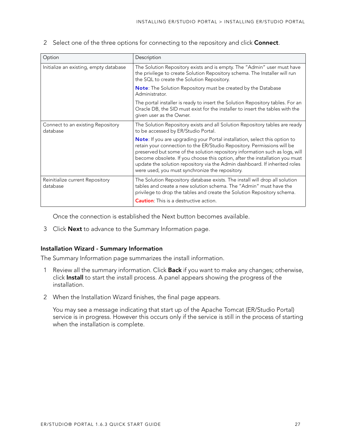2 Select one of the three options for connecting to the repository and click **Connect**.

| Option                                        | Description                                                                                                                                                                                                                                                                                                                                                                                                                                           |  |
|-----------------------------------------------|-------------------------------------------------------------------------------------------------------------------------------------------------------------------------------------------------------------------------------------------------------------------------------------------------------------------------------------------------------------------------------------------------------------------------------------------------------|--|
| Initialize an existing, empty database        | The Solution Repository exists and is empty. The "Admin" user must have<br>the privilege to create Solution Repository schema. The Installer will run<br>the SQL to create the Solution Repository.                                                                                                                                                                                                                                                   |  |
|                                               | <b>Note:</b> The Solution Repository must be created by the Database<br>Administrator.                                                                                                                                                                                                                                                                                                                                                                |  |
|                                               | The portal installer is ready to insert the Solution Repository tables. For an<br>Oracle DB, the SID must exist for the installer to insert the tables with the<br>given user as the Owner.                                                                                                                                                                                                                                                           |  |
| Connect to an existing Repository<br>database | The Solution Repository exists and all Solution Repository tables are ready<br>to be accessed by ER/Studio Portal.                                                                                                                                                                                                                                                                                                                                    |  |
|                                               | Note: If you are upgrading your Portal installation, select this option to<br>retain your connection to the ER/Studio Repository. Permissions will be<br>preserved but some of the solution repository information such as logs, will<br>become obsolete. If you choose this option, after the installation you must<br>update the solution repository via the Admin dashboard. If inherited roles<br>were used, you must synchronize the repository. |  |
| Reinitialize current Repository<br>database   | The Solution Repository database exists. The install will drop all solution<br>tables and create a new solution schema. The "Admin" must have the<br>privilege to drop the tables and create the Solution Repository schema.                                                                                                                                                                                                                          |  |
|                                               | <b>Caution</b> : This is a destructive action.                                                                                                                                                                                                                                                                                                                                                                                                        |  |

Once the connection is established the Next button becomes available.

3 Click **Next** to advance to the Summary Information page.

#### **Installation Wizard - Summary Information**

The Summary Information page summarizes the install information.

- 1 Review all the summary information. Click **Back** if you want to make any changes; otherwise, click **Install** to start the install process. A panel appears showing the progress of the installation.
- 2 When the Installation Wizard finishes, the final page appears.

You may see a message indicating that start up of the Apache Tomcat (ER/Studio Portal) service is in progress. However this occurs only if the service is still in the process of starting when the installation is complete.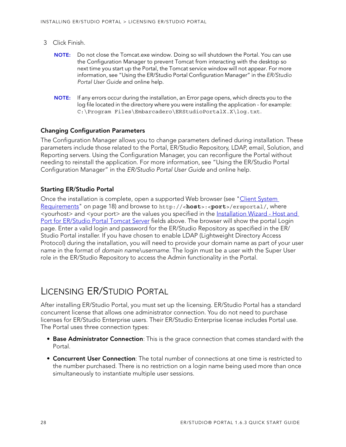- 3 Click Finish.
	- **NOTE:** Do not close the Tomcat.exe window. Doing so will shutdown the Portal. You can use the Configuration Manager to prevent Tomcat from interacting with the desktop so next time you start up the Portal, the Tomcat service window will not appear. For more information, see "Using the ER/Studio Portal Configuration Manager" in the ER/Studio Portal User Guide and online help.
	- **NOTE:** If any errors occur during the installation, an Error page opens, which directs you to the log file located in the directory where you were installing the application - for example: C:\Program Files\Embarcadero\ERStudioPortalX.X\log.txt.

#### **Changing Configuration Parameters**

The Configuration Manager allows you to change parameters defined during installation. These parameters include those related to the Portal, ER/Studio Repository, LDAP, email, Solution, and Reporting servers. Using the Configuration Manager, you can reconfigure the Portal without needing to reinstall the application. For more information, see "Using the ER/Studio Portal Configuration Manager" in the ER/Studio Portal User Guide and online help.

#### **Starting ER/Studio Portal**

Once the installation is complete, open a supported Web browser (see ["Client System](#page-17-1)  [Requirements" on page 18](#page-17-1)) and browse to http://<**host**>:<**port**>/ersportal/, where <yourhost> and <your port> are the values you specified in the [Installation Wizard - Host and](#page-20-0)  [Port for ER/Studio Portal Tomcat Server](#page-20-0) fields above. The browser will show the portal Login page. Enter a valid login and password for the ER/Studio Repository as specified in the ER/ Studio Portal installer. If you have chosen to enable LDAP (Lightweight Directory Access Protocol) during the installation, you will need to provide your domain name as part of your user name in the format of domain name\username. The login must be a user with the Super User role in the ER/Studio Repository to access the Admin functionality in the Portal.

# <span id="page-27-0"></span>LICENSING ER/STUDIO PORTAL

After installing ER/Studio Portal, you must set up the licensing. ER/Studio Portal has a standard concurrent license that allows one administrator connection. You do not need to purchase licenses for ER/Studio Enterprise users. Their ER/Studio Enterprise license includes Portal use. The Portal uses three connection types:

- **Base Administrator Connection**: This is the grace connection that comes standard with the Portal.
- **Concurrent User Connection**: The total number of connections at one time is restricted to the number purchased. There is no restriction on a login name being used more than once simultaneously to instantiate multiple user sessions.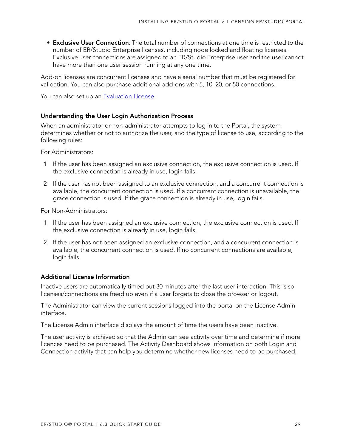• **Exclusive User Connection**: The total number of connections at one time is restricted to the number of ER/Studio Enterprise licenses, including node locked and floating licenses. Exclusive user connections are assigned to an ER/Studio Enterprise user and the user cannot have more than one user session running at any one time.

Add-on licenses are concurrent licenses and have a serial number that must be registered for validation. You can also purchase additional add-ons with 5, 10, 20, or 50 connections.

You can also set up an [Evaluation License.](#page-31-0)

#### **Understanding the User Login Authorization Process**

When an administrator or non-administrator attempts to log in to the Portal, the system determines whether or not to authorize the user, and the type of license to use, according to the following rules:

For Administrators:

- 1 If the user has been assigned an exclusive connection, the exclusive connection is used. If the exclusive connection is already in use, login fails.
- 2 If the user has not been assigned to an exclusive connection, and a concurrent connection is available, the concurrent connection is used. If a concurrent connection is unavailable, the grace connection is used. If the grace connection is already in use, login fails.

For Non-Administrators:

- 1 If the user has been assigned an exclusive connection, the exclusive connection is used. If the exclusive connection is already in use, login fails.
- 2 If the user has not been assigned an exclusive connection, and a concurrent connection is available, the concurrent connection is used. If no concurrent connections are available, login fails.

#### **Additional License Information**

Inactive users are automatically timed out 30 minutes after the last user interaction. This is so licenses/connections are freed up even if a user forgets to close the browser or logout.

The Administrator can view the current sessions logged into the portal on the License Admin interface.

The License Admin interface displays the amount of time the users have been inactive.

The user activity is archived so that the Admin can see activity over time and determine if more licences need to be purchased. The Activity Dashboard shows information on both Login and Connection activity that can help you determine whether new licenses need to be purchased.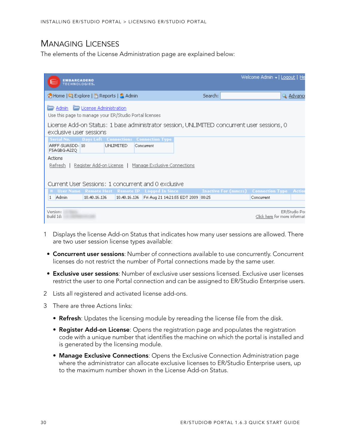## MANAGING LICENSES

The elements of the License Administration page are explained below:



- 1 Displays the license Add-on Status that indicates how many user sessions are allowed. There are two user session license types available:
- **Concurrent user sessions**: Number of connections available to use concurrently. Concurrent licenses do not restrict the number of Portal connections made by the same user.
- **Exclusive user sessions**: Number of exclusive user sessions licensed. Exclusive user licenses restrict the user to one Portal connection and can be assigned to ER/Studio Enterprise users.
- 2 Lists all registered and activated license add-ons.
- 3 There are three Actions links:
	- **Refresh**: Updates the licensing module by rereading the license file from the disk.
	- **Register Add-on License**: Opens the registration page and populates the registration code with a unique number that identifies the machine on which the portal is installed and is generated by the licensing module.
	- **Manage Exclusive Connections**: Opens the Exclusive Connection Administration page where the administrator can allocate exclusive licenses to ER/Studio Enterprise users, up to the maximum number shown in the License Add-on Status.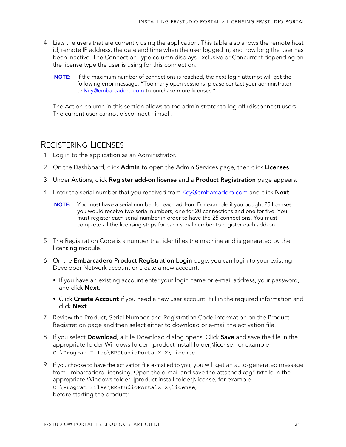- 4 Lists the users that are currently using the application. This table also shows the remote host id, remote IP address, the date and time when the user logged in, and how long the user has been inactive. The Connection Type column displays Exclusive or Concurrent depending on the license type the user is using for this connection.
	- **NOTE:** If the maximum number of connections is reached, the next login attempt will get the following error message: "Too many open sessions, please contact your administrator or [Key@embarcadero.com](mailto:key@embarcadero.com?subject=License Add-on Serial Number Request) to purchase more licenses."

The Action column in this section allows to the administrator to log off (disconnect) users. The current user cannot disconnect himself.

### REGISTERING LICENSES

- 1 Log in to the application as an Administrator.
- 2 On the Dashboard, click **Admin** to open the Admin Services page, then click **Licenses**.
- 3 Under Actions, click **Register add-on license** and a **Product Registration** page appears.
- 4 Enter the serial number that you received from [Key@embarcadero.com](mailto:key@embarcadero.com?subject=License Add-on Serial Number Request) and click **Next**.
	- **NOTE:** You must have a serial number for each add-on. For example if you bought 25 licenses you would receive two serial numbers, one for 20 connections and one for five. You must register each serial number in order to have the 25 connections. You must complete all the licensing steps for each serial number to register each add-on.
- 5 The Registration Code is a number that identifies the machine and is generated by the licensing module.
- 6 On the **Embarcadero Product Registration Login** page, you can login to your existing Developer Network account or create a new account.
	- If you have an existing account enter your login name or e-mail address, your password, and click **Next**.
	- Click **Create Account** if you need a new user account. Fill in the required information and click **Next**.
- 7 Review the Product, Serial Number, and Registration Code information on the Product Registration page and then select either to download or e-mail the activation file.
- 8 If you select **Download**, a File Download dialog opens. Click **Save** and save the file in the appropriate folder Windows folder: [product install folder]\license, for example C:\Program Files\ERStudioPortalX.X\license.
- 9 If you choose to have the activation file e-mailed to you, you will get an auto-generated message from Embarcadero-licensing. Open the e-mail and save the attached reg\*.txt file in the appropriate Windows folder: [product install folder]\license, for example C:\Program Files\ERStudioPortalX.X\license, before starting the product: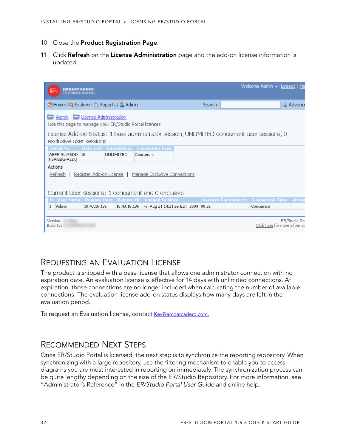- 10 Close the **Product Registration Page**.
- 11 Click **Refresh** on the **License Administration** page and the add-on license information is updated.

| <b>EMBARCADERO</b><br><b>TECHNOLOGIES</b>                                                                             |                                    |                             | Welcome Admin +   Logout   He                        |  |  |
|-----------------------------------------------------------------------------------------------------------------------|------------------------------------|-----------------------------|------------------------------------------------------|--|--|
| ↑ Home   국 Explore   ③ Reports   S. Admin                                                                             |                                    | Search:                     | Q. <u>Advance</u>                                    |  |  |
| <b>Confidence Administration</b><br>Admin<br>Use this page to manage your ER/Studio Portal licenses                   |                                    |                             |                                                      |  |  |
| License Add-on Status: 1 base administrator session, UNLIMITED concurrent user sessions, 0<br>exclusive user sessions |                                    |                             |                                                      |  |  |
| Serial No. Days Left Connections Connection Type<br><b>UNLIMITED</b><br>ARFF-SUASDD-10<br>F5AGBG-A2ZO                 | Concurrent                         |                             |                                                      |  |  |
| Actions<br>Register Add-on License   Manage Exclusive Connections<br>Refresh                                          |                                    |                             |                                                      |  |  |
| Current User Sessions: 1 concurrent and 0 exclusive                                                                   |                                    |                             |                                                      |  |  |
| # User Name Remote Host Remote IP Logged In Since<br>Admin<br>10,40,16,136<br>10.40.16.136<br>$\mathbf{1}$            | Fri Aug 21 14:21:55 EDT 2009 00:25 | <b>Inactive For (mm:ss)</b> | <b>Connection Type</b><br><b>Actio</b><br>Concurrent |  |  |
| Version:<br>Build Id:                                                                                                 |                                    |                             | ER/Studio Por<br>Click here for more informat        |  |  |

### <span id="page-31-0"></span>REQUESTING AN EVALUATION LICENSE

The product is shipped with a base license that allows one administrator connection with no expiration date. An evaluation license is effective for 14 days with unlimited connections. At expiration, those connections are no longer included when calculating the number of available connections. The evaluation license add-on status displays how many days are left in the evaluation period.

To request an Evaluation license, contact [Key@embarcadero.com.](mailto:key@embarcadero.com?subject=License Add-on Serial Number Request)

### RECOMMENDED NEXT STEPS

Once ER/Studio Portal is licensed, the next step is to synchronize the reporting repository. When synchronizing with a large repository, use the filtering mechanism to enable you to access diagrams you are most interested in reporting on immediately. The synchronization process can be quite lengthy depending on the size of the ER/Studio Repository. For more information, see "Administrator's Reference" in the ER/Studio Portal User Guide and online help.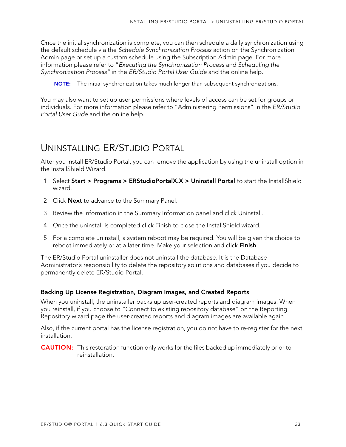Once the initial synchronization is complete, you can then schedule a daily synchronization using the default schedule via the Schedule Synchronization Process action on the Synchronization Admin page or set up a custom schedule using the Subscription Admin page. For more information please refer to "Executing the Synchronization Process and Scheduling the Synchronization Process" in the ER/Studio Portal User Guide and the online help.

**NOTE:** The initial synchronization takes much longer than subsequent synchronizations.

You may also want to set up user permissions where levels of access can be set for groups or individuals. For more information please refer to "Administering Permissions" in the ER/Studio Portal User Gude and the online help.

# <span id="page-32-0"></span>UNINSTALLING ER/STUDIO PORTAL

After you install ER/Studio Portal, you can remove the application by using the uninstall option in the InstallShield Wizard.

- 1 Select **Start > Programs > ERStudioPortalX.X > Uninstall Portal** to start the InstallShield wizard.
- 2 Click **Next** to advance to the Summary Panel.
- 3 Review the information in the Summary Information panel and click Uninstall.
- 4 Once the uninstall is completed click Finish to close the InstallShield wizard.
- 5 For a complete uninstall, a system reboot may be required. You will be given the choice to reboot immediately or at a later time. Make your selection and click **Finish**.

The ER/Studio Portal uninstaller does not uninstall the database. It is the Database Administrator's responsibility to delete the repository solutions and databases if you decide to permanently delete ER/Studio Portal.

#### **Backing Up License Registration, Diagram Images, and Created Reports**

When you uninstall, the uninstaller backs up user-created reports and diagram images. When you reinstall, if you choose to "Connect to existing repository database" on the Reporting Repository wizard page the user-created reports and diagram images are available again.

Also, if the current portal has the license registration, you do not have to re-register for the next installation.

**CAUTION:** This restoration function only works for the files backed up immediately prior to reinstallation.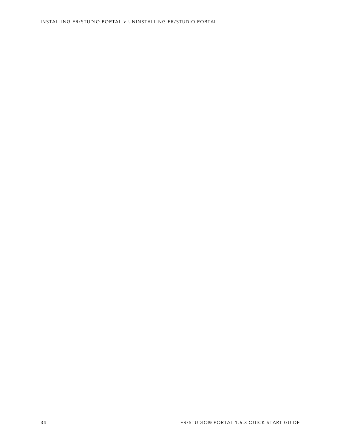INSTALLING ER/STUDIO PORTAL > UNINSTALLING ER/STUDIO PORTAL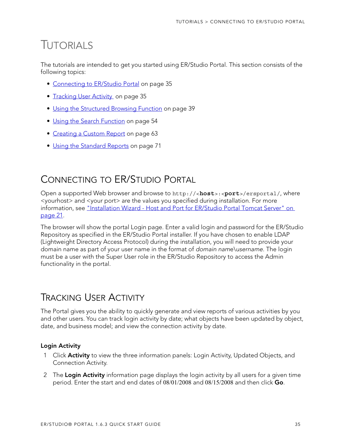# <span id="page-34-0"></span>TUTORIALS

The tutorials are intended to get you started using ER/Studio Portal. This section consists of the following topics:

- [Connecting to ER/Studio Portal on page 35](#page-34-1)
- [Tracking User Activity on page 35](#page-34-2)
- [Using the Structured Browsing Function on page 39](#page-38-0)
- [Using the Search Function on page 54](#page-53-0)
- [Creating a Custom Report on page 63](#page-62-0)
- [Using the Standard Reports on page 71](#page-70-0)

# <span id="page-34-1"></span>CONNECTING TO ER/STUDIO PORTAL

Open a supported Web browser and browse to http://<**host**>:<**port**>/ersportal/, where <yourhost> and <your port> are the values you specified during installation. For more information, see "Installation Wizard - Host and Port for ER/Studio Portal Tomcat Server" on [page 21](#page-20-1).

The browser will show the portal Login page. Enter a valid login and password for the ER/Studio Repository as specified in the ER/Studio Portal installer. If you have chosen to enable LDAP (Lightweight Directory Access Protocol) during the installation, you will need to provide your domain name as part of your user name in the format of domain name\username. The login must be a user with the Super User role in the ER/Studio Repository to access the Admin functionality in the portal.

# <span id="page-34-2"></span>TRACKING USER ACTIVITY

The Portal gives you the ability to quickly generate and view reports of various activities by you and other users. You can track login activity by date; what objects have been updated by object, date, and business model; and view the connection activity by date.

### **Login Activity**

- 1 Click **Activity** to view the three information panels: Login Activity, Updated Objects, and Connection Activity.
- 2 The **Login Activity** information page displays the login activity by all users for a given time period. Enter the start and end dates of 08/01/2008 and 08/15/2008 and then click **Go**.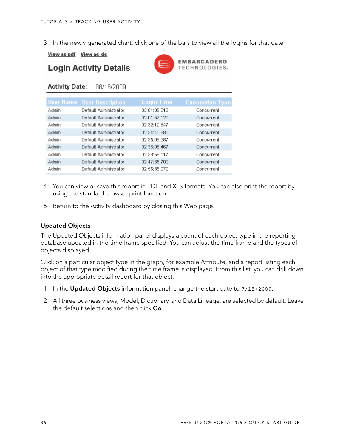3 In the newly generated chart, click one of the bars to view all the logins for that date

View as pdf View as xls

**Login Activity Details** 



**EMBARCADERO** TECHNOLOGIES。

**Activity Date:** 06/16/2009

|       | <b>User Name</b> User Description | <b>Login Time</b> | <b>Connection Type</b> |
|-------|-----------------------------------|-------------------|------------------------|
| Admin | Default Administrator             | 02:01:05.013      | Concurrent             |
| Admin | Default Administrator             | 02:01:52.120      | Concurrent             |
| Admin | Default Administrator             | 02:32:12.847      | Concurrent             |
| Admin | Default Administrator             | 02:34:40.880      | Concurrent             |
| Admin | Default Administrator             | 02:35:09.387      | Concurrent             |
| Admin | Default Administrator             | 02:36:06.467      | Concurrent             |
| Admin | Default Administrator             | 02:38:59.117      | Concurrent             |
| Admin | Default Administrator             | 02:47:35.700      | Concurrent             |
| Admin | Default Administrator             | 02:55:35.070      | Concurrent             |

- 4 You can view or save this report in PDF and XLS formats. You can also print the report by using the standard browser print function.
- 5 Return to the Activity dashboard by closing this Web page.

#### **Updated Objects**

The Updated Objects information panel displays a count of each object type in the reporting database updated in the time frame specified. You can adjust the time frame and the types of objects displayed.

Click on a particular object type in the graph, for example Attribute, and a report listing each object of that type modified during the time frame is displayed. From this list, you can drill down into the appropriate detail report for that object.

- 1 In the **Updated Objects** information panel, change the start date to 7/15/2009.
- 2 All three business views, Model, Dictionary, and Data Lineage, are selected by default. Leave the default selections and then click **Go**.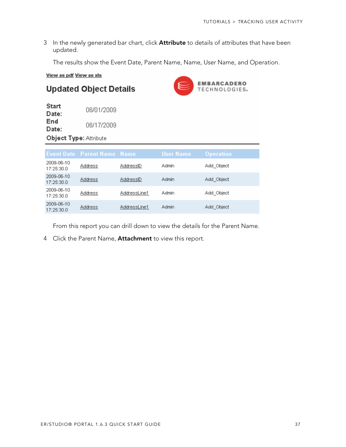**EMBARCADERO** 

TECHNOLOGIES。

3 In the newly generated bar chart, click **Attribute** to details of attributes that have been updated.

The results show the Event Date, Parent Name, Name, User Name, and Operation.

#### View as pdf View as xls

# **Updated Object Details**

**Start** 06/01/2009 Date: End 06/17/2009 Date: Object Type: Attribute

|                          | <b>Event Date Parent Name Name</b> |                  | <b>User Name</b> | <b>Operation</b> |
|--------------------------|------------------------------------|------------------|------------------|------------------|
| 2009-06-10<br>17:25:30.0 | Address                            | AddressID        | Admin            | Add Object       |
| 2009-06-10<br>17:25:30.0 | Address                            | <b>AddressID</b> | Admin            | Add Object       |
| 2009-06-10<br>17:25:30.0 | Address                            | AddressLine1     | Admin            | Add Object       |
| 2009-06-10<br>17:25:30.0 | Address                            | AddressLine1     | Admin            | Add Object       |

From this report you can drill down to view the details for the Parent Name.

4 Click the Parent Name, **Attachment** to view this report.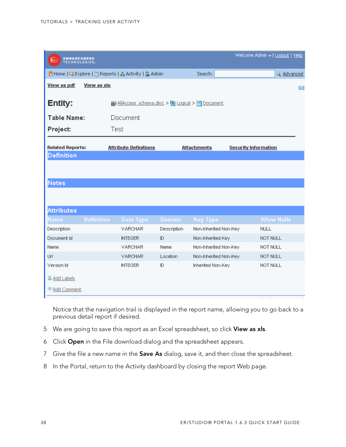| <b>EMBARCADERO</b><br>TECHNOLOGIES, |                   |                                                       |               |                       | Welcome Admin v   Logout   Help |                   |
|-------------------------------------|-------------------|-------------------------------------------------------|---------------|-----------------------|---------------------------------|-------------------|
|                                     |                   | ↑ Home   국 Explore   E Reports   & Activity   S Admin |               | Search:               |                                 | <b>Q</b> Advanced |
| View as pdf                         | View as xls       |                                                       |               |                       |                                 | N                 |
|                                     |                   |                                                       |               |                       |                                 |                   |
| Entity:                             |                   | E AllAccess schema.dm1 > E Logical > B Document       |               |                       |                                 |                   |
| <b>Table Name:</b>                  |                   | Document                                              |               |                       |                                 |                   |
| Project:                            |                   | Test                                                  |               |                       |                                 |                   |
|                                     |                   |                                                       |               |                       |                                 |                   |
| <b>Related Reports:</b>             |                   | <b>Attribute Definitions</b>                          |               | <b>Attachments</b>    | <b>Security Information</b>     |                   |
| <b>Definition</b>                   |                   |                                                       |               |                       |                                 |                   |
|                                     |                   |                                                       |               |                       |                                 |                   |
| <b>Notes</b>                        |                   |                                                       |               |                       |                                 |                   |
|                                     |                   |                                                       |               |                       |                                 |                   |
|                                     |                   |                                                       |               |                       |                                 |                   |
| <b>Attributes</b>                   |                   |                                                       |               |                       |                                 |                   |
| Name                                | <b>Definition</b> | Data Type                                             | <b>Domain</b> | <b>Key Type</b>       | <b>Allow Nulls</b>              |                   |
| Description                         |                   | <b>VARCHAR</b>                                        | Description   | Non-Inherited Non-Key | NULL                            |                   |
| Document Id                         |                   | <b>INTEGER</b>                                        | ID            | Non-Inherited Key     | NOT NULL                        |                   |
| Name                                |                   | <b>VARCHAR</b>                                        | Name          | Non-Inherited Non-Key | NOT NULL                        |                   |
| Url                                 |                   | <b>VARCHAR</b>                                        | Location      | Non-Inherited Non-Key | <b>NOT NULL</b>                 |                   |
| Version Id                          |                   | <b>INTEGER</b>                                        | ID            | Inherited Non-Key     | NOT NULL                        |                   |
| & Add Labels                        |                   |                                                       |               |                       |                                 |                   |
| Add Comment                         |                   |                                                       |               |                       |                                 |                   |
|                                     |                   |                                                       |               |                       |                                 |                   |

Notice that the navigation trail is displayed in the report name, allowing you to go back to a previous detail report if desired.

- 5 We are going to save this report as an Excel spreadsheet, so click **View as xls**.
- 6 Click **Open** in the File download dialog and the spreadsheet appears.
- 7 Give the file a new name in the **Save As** dialog, save it, and then close the spreadsheet.
- 8 In the Portal, return to the Activity dashboard by closing the report Web page.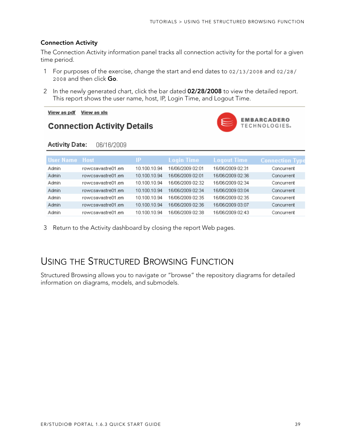### **Connection Activity**

The Connection Activity information panel tracks all connection activity for the portal for a given time period.

- 1 For purposes of the exercise, change the start and end dates to 02/13/2008 and 02/28/ 2008 and then click **Go**.
- 2 In the newly generated chart, click the bar dated **02/28/2008** to view the detailed report. This report shows the user name, host, IP, Login Time, and Logout Time.

View as pdf View as xls

# **Connection Activity Details**



**EMBARCADERO** TECHNOLOGIES。

| <b>Activity Date:</b> | 06/16/2009 |
|-----------------------|------------|
|-----------------------|------------|

| User Name Host |                   | IP           | <b>Login Time</b> | <b>Logout Time</b> | <b>Connection Type</b> |
|----------------|-------------------|--------------|-------------------|--------------------|------------------------|
| Admin          | rowcsavastre01.em | 10.100.10.94 | 16/06/2009 02:01  | 16/06/2009 02:31   | Concurrent             |
| Admin          | rowcsavastre01.em | 10.100.10.94 | 16/06/2009 02:01  | 16/06/2009 02:36   | Concurrent             |
| Admin          | rowcsavastre01.em | 10.100.10.94 | 16/06/2009 02:32  | 16/06/2009 02:34   | Concurrent             |
| Admin          | rowcsavastre01.em | 10.100.10.94 | 16/06/2009 02:34  | 16/06/2009 03:04   | Concurrent             |
| Admin          | rowcsavastre01.em | 10.100.10.94 | 16/06/2009 02:35  | 16/06/2009 02:35   | Concurrent             |
| Admin          | rowcsavastre01.em | 10.100.10.94 | 16/06/2009 02:36  | 16/06/2009 03:07   | Concurrent             |
| Admin          | rowcsavastre01.em | 10.100.10.94 | 16/06/2009 02:38  | 16/06/2009 02:43   | Concurrent             |

3 Return to the Activity dashboard by closing the report Web pages.

# USING THE STRUCTURED BROWSING FUNCTION

Structured Browsing allows you to navigate or "browse" the repository diagrams for detailed information on diagrams, models, and submodels.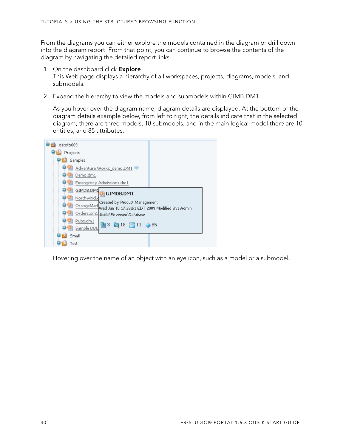From the diagrams you can either explore the models contained in the diagram or drill down into the diagram report. From that point, you can continue to browse the contents of the diagram by navigating the detailed report links.

- 1 On the dashboard click **Explore**. This Web page displays a hierarchy of all workspaces, projects, diagrams, models, and submodels.
- 2 Expand the hierarchy to view the models and submodels within GIMB.DM1.

As you hover over the diagram name, diagram details are displayed. At the bottom of the diagram details example below, from left to right, the details indicate that in the selected diagram, there are three models, 18 submodels, and in the main logical model there are 10 entities, and 85 attributes.



Hovering over the name of an object with an eye icon, such as a model or a submodel,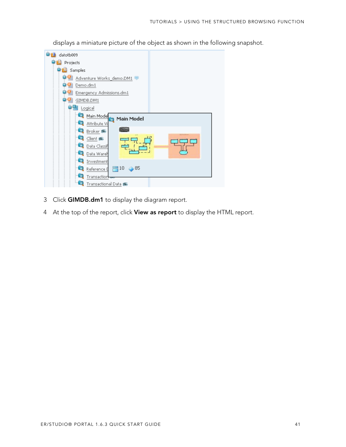displays a miniature picture of the object as shown in the following snapshot.



- 3 Click **GIMDB.dm1** to display the diagram report.
- 4 At the top of the report, click **View as report** to display the HTML report.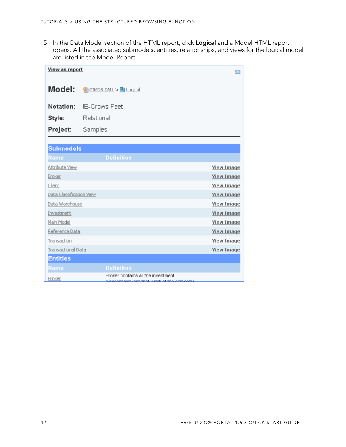5 In the Data Model section of the HTML report, click **Logical** and a Model HTML report opens. All the associated submodels, entities, relationships, and views for the logical model are listed in the Model Report.

| View as report           |                                                                                   | ᆋ                 |
|--------------------------|-----------------------------------------------------------------------------------|-------------------|
| Model:                   | <b>Wi</b> GIMDB.DM1 > ■ Logical                                                   |                   |
| Notation:                | <b>IE-Crows Feet</b>                                                              |                   |
| Style:                   | Relational                                                                        |                   |
| Project:                 | Samples                                                                           |                   |
|                          |                                                                                   |                   |
| <b>Submodels</b>         |                                                                                   |                   |
| Name                     | <b>Definition</b>                                                                 |                   |
| Attribute View           |                                                                                   | <b>View Image</b> |
| <b>Broker</b>            |                                                                                   | <b>View Image</b> |
| Client                   |                                                                                   | <b>View Image</b> |
| Data Classification View |                                                                                   | <b>View Image</b> |
| Data Warehouse           |                                                                                   | <b>View Image</b> |
| Investment               |                                                                                   | <b>View Image</b> |
| Main Model               |                                                                                   | <b>View Image</b> |
| Reference Data           |                                                                                   | <b>View Image</b> |
| Transaction              |                                                                                   | <b>View Image</b> |
| Transactional Data       |                                                                                   | <b>View Image</b> |
| Entities                 |                                                                                   |                   |
| Name                     | <b>Definition</b>                                                                 |                   |
| Broker                   | Broker contains all the investment<br>oduiooko lakakaka tlaat waxkud tlaa oomaanu |                   |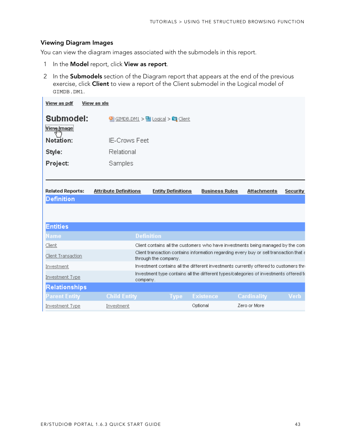## **Viewing Diagram Images**

You can view the diagram images associated with the submodels in this report.

- 1 In the **Model** report, click **View as report**.
- 2 In the **Submodels** section of the Diagram report that appears at the end of the previous exercise, click **Client** to view a report of the Client submodel in the Logical model of GIMDB.DM1.

| View as pdf                           | View as xls                  |                                                   |                       |                                                                                        |          |
|---------------------------------------|------------------------------|---------------------------------------------------|-----------------------|----------------------------------------------------------------------------------------|----------|
| <b>Submodel:</b><br><u>View Image</u> |                              | $\Box$ GIMDB.DM1 > $\Box$ Logical > $\Box$ Client |                       |                                                                                        |          |
| Notation:                             | <b>IE-Crows Feet</b>         |                                                   |                       |                                                                                        |          |
| Style:                                | Relational                   |                                                   |                       |                                                                                        |          |
| Project:                              | Samples                      |                                                   |                       |                                                                                        |          |
|                                       |                              |                                                   |                       |                                                                                        |          |
| <b>Related Reports:</b>               | <b>Attribute Definitions</b> | <b>Entity Definitions</b>                         | <b>Business Rules</b> | <b>Attachments</b>                                                                     | Security |
| <b>Definition</b>                     |                              |                                                   |                       |                                                                                        |          |
|                                       |                              |                                                   |                       |                                                                                        |          |
|                                       |                              |                                                   |                       |                                                                                        |          |
| <b>Entities</b>                       |                              |                                                   |                       |                                                                                        |          |
| Name                                  |                              | <b>Definition</b>                                 |                       |                                                                                        |          |
| Client                                |                              |                                                   |                       | Client contains all the customers who have investments being managed by the com        |          |
| Client Transaction                    |                              | through the company.                              |                       | Client transaction contains information regarding every buy or sell transaction that a |          |
| Investment                            |                              |                                                   |                       | Investment contains all the different investments currently offered to customers thre  |          |
| Investment Type                       | company.                     |                                                   |                       | Investment type contains all the different types/categories of investments offered to  |          |
| Relationships                         |                              |                                                   |                       |                                                                                        |          |
| <b>Parent Entity</b>                  | <b>Child Entity</b>          | <b>Type</b>                                       | <b>Existence</b>      | Cardinality                                                                            | Verb     |
| Investment Type                       | Investment                   |                                                   | Optional              | Zero or More                                                                           |          |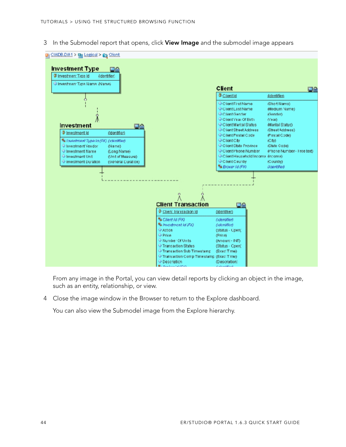3 In the Submodel report that opens, click **View Image** and the submodel image appears



From any image in the Portal, you can view detail reports by clicking an object in the image, such as an entity, relationship, or view.

4 Close the image window in the Browser to return to the Explore dashboard.

You can also view the Submodel image from the Explore hierarchy.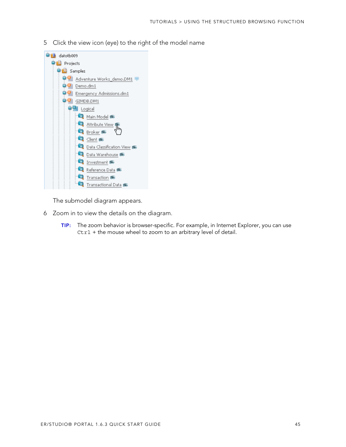5 Click the view icon (eye) to the right of the model name



The submodel diagram appears.

- 6 Zoom in to view the details on the diagram.
	- **TIP:** The zoom behavior is browser-specific. For example, in Internet Explorer, you can use Ctrl + the mouse wheel to zoom to an arbitrary level of detail.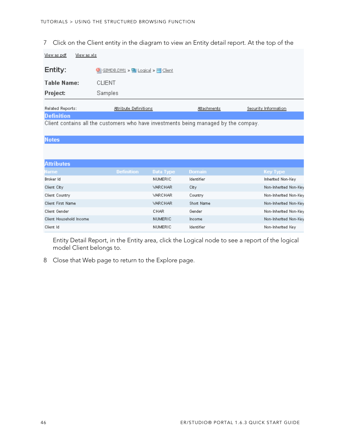7 Click on the Client entity in the diagram to view an Entity detail report. At the top of the

| <b>Related Reports:</b>    | Attribute Definitions           | <b>Attachments</b> | Security Information. |
|----------------------------|---------------------------------|--------------------|-----------------------|
| Project:                   | <b>Samples</b>                  |                    |                       |
| <b>Table Name:</b>         | CLIENT                          |                    |                       |
| Entity:                    | GIMDB.DM1 > Logical > El Client |                    |                       |
| View as pdf<br>View as xls |                                 |                    |                       |

**Definition** 

Client contains all the customers who have investments being managed by the compay.

**Notes** 

| <b>Attributes</b>        |                   |                |               |                       |
|--------------------------|-------------------|----------------|---------------|-----------------------|
| Name i                   | <b>Definition</b> | Data Type      | <b>Domain</b> | Key Type              |
| Broker Id                |                   | <b>NUMERIC</b> | Identifier    | Inherited Non-Key     |
| Client City              |                   | VARCHAR        | City          | Non-Inherited Non-Key |
| Client Country           |                   | VARCHAR        | Country       | Non-Inherited Non-Key |
| <b>Client First Name</b> |                   | VARCHAR        | Short Name    | Non-Inherited Non-Key |
| Client Gender            |                   | CHAR           | Gender        | Non-Inherited Non-Key |
| Client Household Income  |                   | <b>NUMERIC</b> | Income        | Non-Inherited Non-Key |
| Client Id                |                   | <b>NUMERIC</b> | Identifier    | Non-Inherited Key     |

Entity Detail Report, in the Entity area, click the Logical node to see a report of the logical model Client belongs to.

8 Close that Web page to return to the Explore page.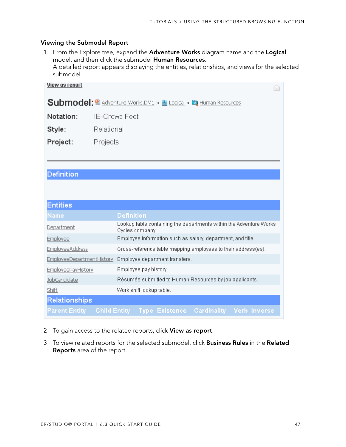### **Viewing the Submodel Report**

1 From the Explore tree, expand the **Adventure Works** diagram name and the **Logical** model, and then click the submodel **Human Resources**. A detailed report appears displaying the entities, relationships, and views for the selected submodel.

| <b>View as report</b>                                                                            |                      |                          |                       |                                |                                                                    |  |
|--------------------------------------------------------------------------------------------------|----------------------|--------------------------|-----------------------|--------------------------------|--------------------------------------------------------------------|--|
| Submodel: <sup>2</sup> Adventure Works.DM1 > <sup>2</sup> Logical > <sup>1</sup> Human Resources |                      |                          |                       |                                |                                                                    |  |
| Notation:                                                                                        | <b>IE-Crows Feet</b> |                          |                       |                                |                                                                    |  |
| Style:                                                                                           | Relational           |                          |                       |                                |                                                                    |  |
| Project:                                                                                         | Projects             |                          |                       |                                |                                                                    |  |
|                                                                                                  |                      |                          |                       |                                |                                                                    |  |
|                                                                                                  |                      |                          |                       |                                |                                                                    |  |
| <b>Definition</b>                                                                                |                      |                          |                       |                                |                                                                    |  |
|                                                                                                  |                      |                          |                       |                                |                                                                    |  |
| <b>Entities</b>                                                                                  |                      |                          |                       |                                |                                                                    |  |
| Name                                                                                             |                      | Definition               |                       |                                |                                                                    |  |
| Department                                                                                       |                      |                          | Cycles company.       |                                | Lookup table containing the departments within the Adventure Works |  |
| <b>Employee</b>                                                                                  |                      |                          |                       |                                | Employee information such as salary, department, and title.        |  |
| <b>EmployeeAddress</b>                                                                           |                      |                          |                       |                                | Cross-reference table mapping employees to their address(es).      |  |
| EmployeeDepartmentHistory                                                                        |                      |                          |                       | Employee department transfers. |                                                                    |  |
| EmployeePayHistory                                                                               |                      |                          | Employee pay history. |                                |                                                                    |  |
| JobCandidate                                                                                     |                      |                          |                       |                                | Résumés submitted to Human Resources by job applicants.            |  |
| Shift                                                                                            |                      | Work shift lookup table. |                       |                                |                                                                    |  |
| Relationships                                                                                    |                      |                          |                       |                                |                                                                    |  |
| Parent Entity                                                                                    |                      |                          |                       |                                | Child Entity Type Existence Cardinality Verb Inverse               |  |

- 2 To gain access to the related reports, click **View as report**.
- 3 To view related reports for the selected submodel, click **Business Rules** in the **Related Reports** area of the report.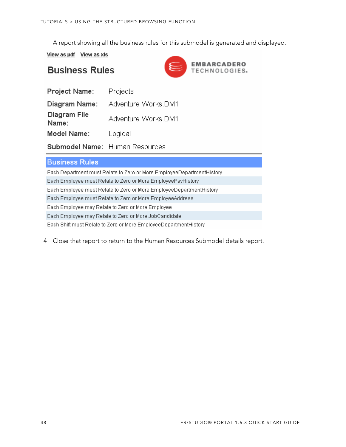A report showing all the business rules for this submodel is generated and displayed.

View as pdf View as xls

**Business Rules** 



| <b>Project Name:</b>  | Projects                              |
|-----------------------|---------------------------------------|
| Diagram Name:         | Adventure Works.DM1                   |
| Diagram File<br>Name: | Adventure Works.DM1                   |
| Model Name:           | Logical                               |
|                       | <b>Submodel Name:</b> Human Resources |

## **Business Rules**

Each Department must Relate to Zero or More EmployeeDepartmentHistory Each Employee must Relate to Zero or More EmployeePayHistory Each Employee must Relate to Zero or More EmployeeDepartmentHistory Each Employee must Relate to Zero or More EmployeeAddress Each Employee may Relate to Zero or More Employee Each Employee may Relate to Zero or More JobCandidate Each Shift must Relate to Zero or More EmployeeDepartmentHistory

4 Close that report to return to the Human Resources Submodel details report.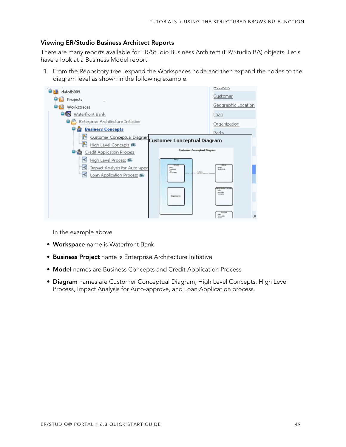#### **Viewing ER/Studio Business Architect Reports**

There are many reports available for ER/Studio Business Architect (ER/Studio BA) objects. Let's have a look at a Business Model report.

1 From the Repository tree, expand the Workspaces node and then expand the nodes to the diagram level as shown in the following example.



In the example above

- **Workspace** name is Waterfront Bank
- **Business Project** name is Enterprise Architecture Initiative
- **Model** names are Business Concepts and Credit Application Process
- **Diagram** names are Customer Conceptual Diagram, High Level Concepts, High Level Process, Impact Analysis for Auto-approve, and Loan Application process.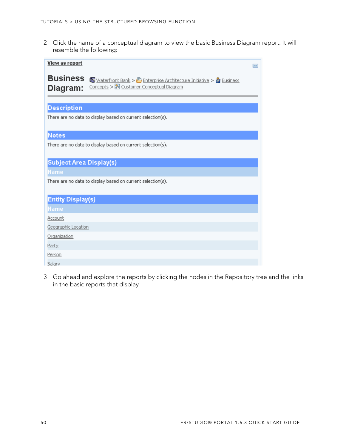2 Click the name of a conceptual diagram to view the basic Business Diagram report. It will resemble the following:

| View as report                                                                                                                                                                | χ |
|-------------------------------------------------------------------------------------------------------------------------------------------------------------------------------|---|
| <b>Business</b><br>Hall Waterfront Bank > <mark>凸</mark> Enterprise Architecture Initiative > <mark>☆</mark> Business<br>Concepts > 8 Customer Conceptual Diagram<br>Diagram: |   |
| <b>Description</b>                                                                                                                                                            |   |
|                                                                                                                                                                               |   |
| There are no data to display based on current selection(s).                                                                                                                   |   |
| <b>Notes</b>                                                                                                                                                                  |   |
| There are no data to display based on current selection(s).                                                                                                                   |   |
| Subject Area Display(s)                                                                                                                                                       |   |
| Name                                                                                                                                                                          |   |
| There are no data to display based on current selection(s).                                                                                                                   |   |
| <b>Entity Display(s)</b>                                                                                                                                                      |   |
| Name                                                                                                                                                                          |   |
| Account                                                                                                                                                                       |   |
| Geographic Location                                                                                                                                                           |   |
| Organization                                                                                                                                                                  |   |
| Party                                                                                                                                                                         |   |
| Person                                                                                                                                                                        |   |
| Salary                                                                                                                                                                        |   |

3 Go ahead and explore the reports by clicking the nodes in the Repository tree and the links in the basic reports that display.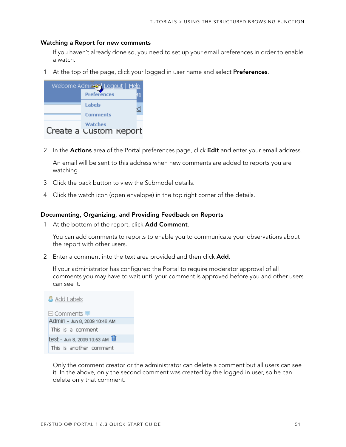#### **Watching a Report for new comments**

If you haven't already done so, you need to set up your email preferences in order to enable a watch.

1 At the top of the page, click your logged in user name and select **Preferences**.

| Welcome Administration Logout   Help |                                   |  |  |  |  |
|--------------------------------------|-----------------------------------|--|--|--|--|
|                                      | <b>Preferences</b>                |  |  |  |  |
|                                      | Labels                            |  |  |  |  |
|                                      | <b>Comments</b>                   |  |  |  |  |
|                                      | Watches<br>Create a custom keport |  |  |  |  |

2 In the **Actions** area of the Portal preferences page, click **Edit** and enter your email address.

An email will be sent to this address when new comments are added to reports you are watching.

- 3 Click the back button to view the Submodel details.
- 4 Click the watch icon (open envelope) in the top right corner of the details.

#### **Documenting, Organizing, and Providing Feedback on Reports**

1 At the bottom of the report, click **Add Comment**.

You can add comments to reports to enable you to communicate your observations about the report with other users.

2 Enter a comment into the text area provided and then click **Add**.

If your administrator has configured the Portal to require moderator approval of all comments you may have to wait until your comment is approved before you and other users can see it.



Only the comment creator or the administrator can delete a comment but all users can see it. In the above, only the second comment was created by the logged in user, so he can delete only that comment.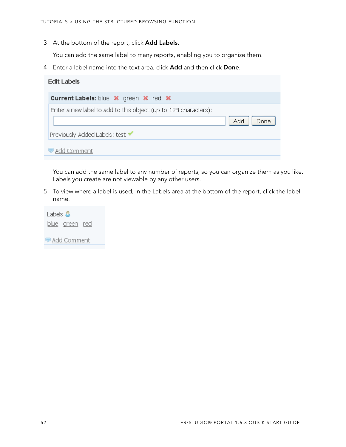3 At the bottom of the report, click **Add Labels**.

You can add the same label to many reports, enabling you to organize them.

4 Enter a label name into the text area, click **Add** and then click **Done**.

| <b>Current Labels:</b> blue <b>x</b> green <b>x</b> red <b>x</b><br>Enter a new label to add to this object (up to 128 characters):<br>Add<br>Done<br>Previously Added Labels: test ♥<br>Add Comment | <b>Edit Labels</b> |  |
|------------------------------------------------------------------------------------------------------------------------------------------------------------------------------------------------------|--------------------|--|
|                                                                                                                                                                                                      |                    |  |
|                                                                                                                                                                                                      |                    |  |
|                                                                                                                                                                                                      |                    |  |

You can add the same label to any number of reports, so you can organize them as you like. Labels you create are not viewable by any other users.

5 To view where a label is used, in the Labels area at the bottom of the report, click the label name.

Labels & blue green red Add Comment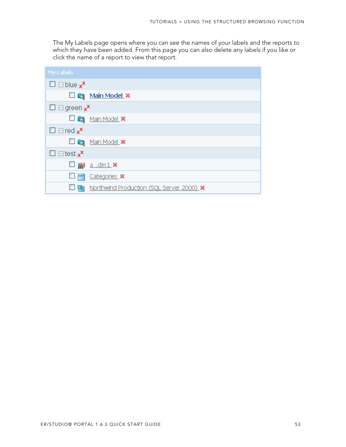The My Labels page opens where you can see the names of your labels and the reports to which they have been added. From this page you can also delete any labels if you like or click the name of a report to view that report.

| My Labels                                           |                                                           |
|-----------------------------------------------------|-----------------------------------------------------------|
| $\square$ $\square$ blue $\mathsf{x}^{\mathsf{x}}$  |                                                           |
|                                                     | $\Box$ $\ominus$ Main Model $\ast$                        |
| $\square$ $\square$ green $\mathbf{x}^{\mathbf{X}}$ |                                                           |
|                                                     | $\Box$ <b>Main Model <math>\mathbf{\mathsf{x}}</math></b> |
| $\square \equiv$ red $\mathbf{x}^{\mathbf{X}}$      |                                                           |
|                                                     | $\Box$ $\Box$ Main Model $\bm{x}$                         |
| $\square$ $\Xi$ test $\mathbf{x}^{\mathbf{X}}$      |                                                           |
|                                                     | $\Box$ $\Box$ $\underline{a}$ .dm1 $\times$               |
|                                                     | <b>E</b> Categories <b>*</b>                              |
| 唔                                                   | Northwind Production (SQL Server 2000) X                  |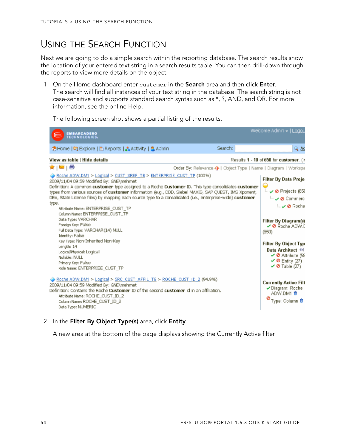# USING THE SEARCH FUNCTION

Next we are going to do a simple search within the reporting database. The search results show the location of your entered text string in a search results table. You can then drill-down through the reports to view more details on the object.

1 On the Home dashboard enter customer in the **Search** area and then click **Enter**. The search will find all instances of your text string in the database. The search string is not case-sensitive and supports standard search syntax such as \*, ?, AND, and OR. For more information, see the online Help.

The following screen shot shows a partial listing of the results.

| <b>EMBARCADERO</b><br><b>TECHNOLOGIES.</b>                                                                                                                                                                                                                                                                                    |                                                                              | Welcome Admin -   Logou                                                                                                     |
|-------------------------------------------------------------------------------------------------------------------------------------------------------------------------------------------------------------------------------------------------------------------------------------------------------------------------------|------------------------------------------------------------------------------|-----------------------------------------------------------------------------------------------------------------------------|
| 소Home   Q Explore   E Reports   & Activity   Q Admin                                                                                                                                                                                                                                                                          | Search:                                                                      | $Q$ $AC$                                                                                                                    |
| View as table   Hide details                                                                                                                                                                                                                                                                                                  |                                                                              | Results 1 - 10 of 650 for customer. (in                                                                                     |
| ★ 1日 1号                                                                                                                                                                                                                                                                                                                       | Order By: Relevance <a> <a> <a> </a> </a> </a> L<br>Name   Diagram   Workspa |                                                                                                                             |
| Roche ADW.DM1 > Logical > CUST_XREF_TB > ENTERPRISE_CUST_TP (100%)<br>2009/11/04 09:59 Modified By: GNE\mehmet<br>Definition: A common customer type assigned to a Roche Customer ID. This type consolidates customer<br>types from various sources of customer information (e.g., DDD, Siebel MAXIS, SAP QUEST, IMS Xponent, |                                                                              | <b>Filter By Data Proje</b><br>θ<br>∴ co Projects (650                                                                      |
| DEA, State License files) by mapping each source type to a consolidated (i.e., enterprise-wide) customer                                                                                                                                                                                                                      |                                                                              | <b>E</b> commerc                                                                                                            |
| type.<br>Attribute Name: ENTERPRISE_CUST_TP<br>Column Name: ENTERPRISE_CUST_TP                                                                                                                                                                                                                                                |                                                                              | ि <b>∕⊘</b> Roche                                                                                                           |
| Data Type: VARCHAR<br>Foreign Key: False<br>Full Data Type: VARCHAR(14) NULL<br>Identity: False                                                                                                                                                                                                                               |                                                                              | <b>Filter By Diagram(s)</b><br><b>√ Ø</b> Roche ADW E<br>(650)                                                              |
| Key Type: Non-Inherited Non-Key<br>Length: 14<br>Logical/Physical: LOGICAl<br>Nullable: NULL<br>Primary Key: False<br>Role Name: ENTERPRISE_CUST_TP                                                                                                                                                                           |                                                                              | <b>Filter By Object Typ</b><br>Data Architect 44<br>✔ Ø Attribute (59<br>$\vee$ <b>O</b> Entity (27)<br>$\vee$ 8 Table (27) |
| Roche ADW.DM1 > Logical > SRC_CUST_AFFIL_TB > ROCHE_CUST_ID_2 (94.9%)<br>2009/11/04 09:59 Modified By: GNE\mehmet<br>Definition: Contains the Roche Customer ID of the second customer id in an affiliation.<br>Attribute Name: ROCHE_CUST_ID_2<br>Column Name: ROCHE_CUST_ID_2<br>Data Type: NUMERIC                         |                                                                              | <b>Currently Active Filt</b><br>Diagram: Roche<br>ADW.DM1 窗<br>Type: Column B                                               |

### 2 In the **Filter By Object Type(s)** area, click **Entity**.

A new area at the bottom of the page displays showing the Currently Active filter.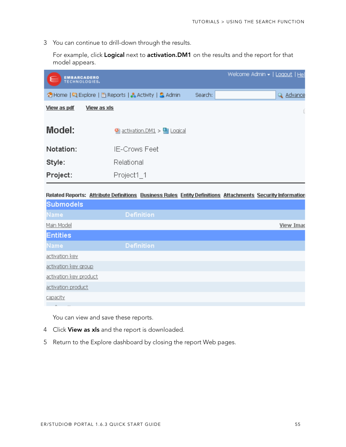3 You can continue to drill-down through the results.

For example, click **Logical** next to **activation.DM1** on the results and the report for that model appears.

| <b>EMBARCADERO</b><br>€<br>TECHNOLOGIES. |                                                       |         | Welcome Admin v   Logout   Hel |
|------------------------------------------|-------------------------------------------------------|---------|--------------------------------|
|                                          | ↑ Home   2 Explore   E Reports   & Activity   3 Admin | Search: | Q Advance                      |
| View as pdf<br>View as xls               |                                                       |         |                                |
| Model:                                   | ◎ activation.DM1 > ■ Logical                          |         |                                |
| Notation:                                | <b>IE-Crows Feet</b>                                  |         |                                |
| Style:                                   | Relational                                            |         |                                |
| Project:                                 | Project1_1                                            |         |                                |

#### Related Reports: Attribute Definitions Business Rules Entity Definitions Attachments Security Information

| Submodels              |                   |  |                  |
|------------------------|-------------------|--|------------------|
| <b>Name</b>            | <b>Definition</b> |  |                  |
| Main Model             |                   |  | <b>View Imad</b> |
| <b>Entities</b>        |                   |  |                  |
| <b>Name</b>            | <b>Definition</b> |  |                  |
| activation key         |                   |  |                  |
| activation key group   |                   |  |                  |
| activation key product |                   |  |                  |
| activation product     |                   |  |                  |
| capacity               |                   |  |                  |
|                        |                   |  |                  |

You can view and save these reports.

- 4 Click **View as xls** and the report is downloaded.
- 5 Return to the Explore dashboard by closing the report Web pages.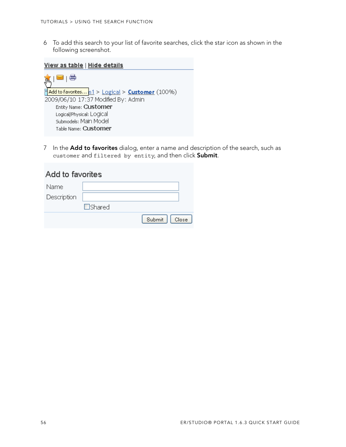6 To add this search to your list of favorite searches, click the star icon as shown in the following screenshot.



7 In the **Add to favorites** dialog, enter a name and description of the search, such as customer and filtered by entity, and then click **Submit**.

## Add to favorites

| Name<br>Description |         |        |       |
|---------------------|---------|--------|-------|
|                     | □Shared |        |       |
|                     |         | Submit | Close |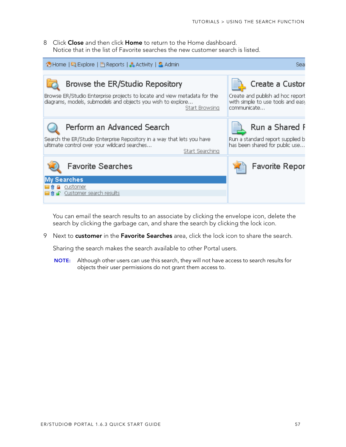8 Click **Close** and then click **Home** to return to the Home dashboard. Notice that in the list of Favorite searches the new customer search is listed.

| ↑ Home   2 Explore   E Reports   & Activity   3 Admin                                                                                                                                        | Sea                                                                                                     |
|----------------------------------------------------------------------------------------------------------------------------------------------------------------------------------------------|---------------------------------------------------------------------------------------------------------|
| Browse the ER/Studio Repository<br>Browse ER/Studio Enterprise projects to locate and view metadata for the<br>diagrams, models, submodels and objects you wish to explore<br>Start Browsing | Create a Custor<br>Create and publish ad hoc report<br>with simple to use tools and easy<br>communicate |
| Perform an Advanced Search<br>Search the ER/Studio Enterprise Repository in a way that lets you have<br>ultimate control over your wildcard searches<br>Start Searching                      | Run a Shared F<br>Run a standard report supplied b<br>has been shared for public use                    |
| <b>Favorite Searches</b>                                                                                                                                                                     | <b>Favorite Repor</b>                                                                                   |
| <b>My Searches</b><br>customer<br>Customer search results                                                                                                                                    |                                                                                                         |

You can email the search results to an associate by clicking the envelope icon, delete the search by clicking the garbage can, and share the search by clicking the lock icon.

9 Next to **customer** in the **Favorite Searches** area, click the lock icon to share the search.

Sharing the search makes the search available to other Portal users.

**NOTE:** Although other users can use this search, they will not have access to search results for objects their user permissions do not grant them access to.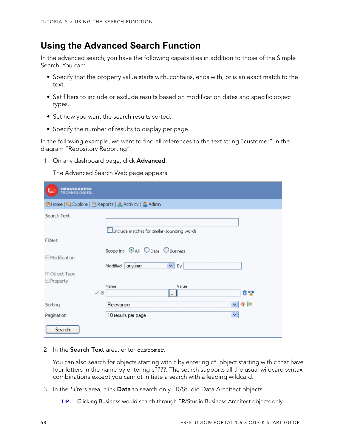# **Using the Advanced Search Function**

In the advanced search, you have the following capabilities in addition to those of the Simple Search. You can:

- Specify that the property value starts with, contains, ends with, or is an exact match to the text.
- Set filters to include or exclude results based on modification dates and specific object types.
- Set how you want the search results sorted.
- Specify the number of results to display per page.

In the following example, we want to find all references to the text string "customer" in the diagram "Repository Reporting".

1 On any dashboard page, click **Advanced**.

The Advanced Search Web page appears.

| <b>EMBARCADERO</b><br>⋹<br><b>TECHNOLOGIES.</b>       |                                            |          |
|-------------------------------------------------------|--------------------------------------------|----------|
| ↑ Home   Q Explore   B Reports   & Activity   S Admin |                                            |          |
| Search Text                                           | Include matches for similar-sounding words |          |
| Filters                                               |                                            |          |
| $\Box$ Modification                                   | Scope in: OAII O Data O Business           |          |
|                                                       | Modified<br>anytime<br>$\vee$<br>By        |          |
| 田 Object Type                                         |                                            |          |
| $\Box$ Property                                       | Value<br>Name                              |          |
| $\checkmark$ 0                                        |                                            | ति<br>맺고 |
| Sorting                                               | Relevance<br>v                             | 企計       |
| Pagination                                            | 10 results per page<br>v                   |          |
| Search                                                |                                            |          |

2 In the **Search Text** area, enter customer.

You can also search for objects starting with c by entering  $c^*$ , object starting with c that have four letters in the name by entering c????. The search supports all the usual wildcard syntax combinations except you cannot initiate a search with a leading wildcard.

3 In the Filters area, click **Data** to search only ER/Studio Data Architect objects.

**TIP:** Clicking Business would search through ER/Studio Business Architect objects only.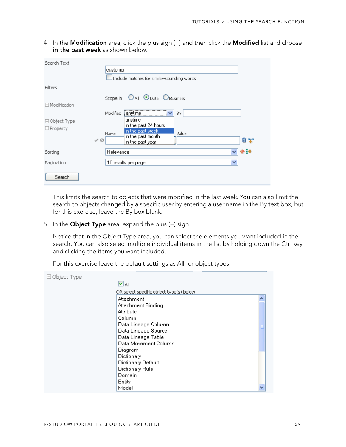4 In the **Modification** area, click the plus sign (+) and then click the **Modified** list and choose **in the past week** as shown below.

| Search Text                                                  | customer<br>$\mathop{\text{Indude}}$ matches for similar-sounding words                                                                                                                                             |
|--------------------------------------------------------------|---------------------------------------------------------------------------------------------------------------------------------------------------------------------------------------------------------------------|
| Filters                                                      |                                                                                                                                                                                                                     |
| $\boxminus$ Modification<br>田 Object Type<br>$\Box$ Property | Scope in: OAII ®Data OBusiness<br><u>anytime</u><br>Modified<br>◡<br>By.<br>anytime<br>in the past 24 hours.<br>in the past week<br>Value<br>Name<br>in the past month<br>命 말<br>$\checkmark$ 0<br>in the past year |
| Sorting                                                      | 相和<br>Relevance                                                                                                                                                                                                     |
| Pagination                                                   | 10 results per page<br>$\checkmark$                                                                                                                                                                                 |
| Search                                                       |                                                                                                                                                                                                                     |

This limits the search to objects that were modified in the last week. You can also limit the search to objects changed by a specific user by entering a user name in the By text box, but for this exercise, leave the By box blank.

5 In the **Object Type** area, expand the plus (+) sign.

Notice that in the Object Type area, you can select the elements you want included in the search. You can also select multiple individual items in the list by holding down the Ctrl key and clicking the items you want included.

[For this exercise leave the default settings as All for object types.](http://www.embarcadero.com/support)

| $\Box$ Object Type |                                          |  |
|--------------------|------------------------------------------|--|
|                    | ⊠ all                                    |  |
|                    | OR select specific object type(s) below: |  |
|                    | Attachment                               |  |
|                    | Attachment Binding                       |  |
|                    | Attribute                                |  |
|                    | Column                                   |  |
|                    | Data Lineage Column                      |  |
|                    | Data Lineage Source                      |  |
|                    | Data Lineage Table                       |  |
|                    | Data Movement Column                     |  |
|                    | Diagram                                  |  |
|                    | Dictionary                               |  |
|                    | <b>Dictionary Default</b>                |  |
|                    | Dictionary Rule                          |  |
|                    | Domain                                   |  |
|                    | Entity                                   |  |
|                    | Model                                    |  |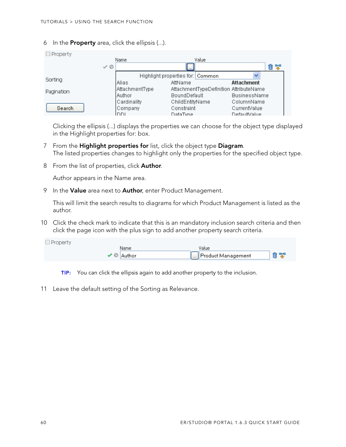6 In the **Property** area, click the ellipsis (...).

| $\Box$ Property |                |                |                                  |                                        |  |
|-----------------|----------------|----------------|----------------------------------|----------------------------------------|--|
|                 |                | Name           | Value                            |                                        |  |
|                 | $\checkmark$ 0 |                | <u>   </u>                       |                                        |  |
| Sortina         |                |                | Highlight properties for: Common |                                        |  |
|                 |                | lAlias.        | AttName                          | <b>Attachment</b>                      |  |
| Pagination      |                | AttachmentType |                                  | AttachmentTypeDefinition AttributeName |  |
|                 |                | lAuthor        | BoundDefault                     | <b>BusinessName</b>                    |  |
|                 |                | Cardinality    | ChildEntityName                  | ColumnName                             |  |
| Search          |                | Company        | Constraint                       | CurrentValue                           |  |
|                 |                | וחחו           | DataTyne                         | DefaultValue                           |  |

Clicking the ellipsis (...) displays the properties we can choose for the object type displayed in the Highlight properties for: box.

- 7 From the **Highlight properties for** list, click the object type **Diagram**. The listed properties changes to highlight only the properties for the specified object type.
- 8 From the list of properties, click **Author**.

Author appears in the Name area.

9 In the **Value** area next to **Author**, enter Product Management.

This will limit the search results to diagrams for which Product Management is listed as the author.

10 Click the check mark to indicate that this is an mandatory inclusion search criteria and then click the page icon with the plus sign to add another property search criteria.

|  | , Property |  |
|--|------------|--|
|--|------------|--|

| Name.           | Value                        |    |
|-----------------|------------------------------|----|
| $\vee$ © Author | <b>M.</b> Product Management | 合写 |

- **TIP:** You can click the ellipsis again to add another property to the inclusion.
- 11 [Leave the default setting of the Sorting](http://www.embarcadero.com/resources/documentation.html) [as Relevance.](http://www.embarcadero.com/resources/online_demos.html)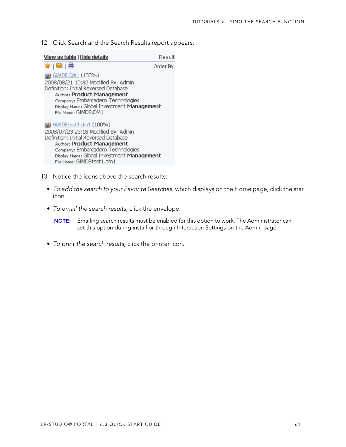12 Click Search and the Search Results report appears.

| View as table   Hide details                                                                                                                                                                                                                          | Result    |
|-------------------------------------------------------------------------------------------------------------------------------------------------------------------------------------------------------------------------------------------------------|-----------|
| ★   ≊   ⇔                                                                                                                                                                                                                                             | Order By: |
| E2 GIMDB.DM1 (100%)<br>2008/08/21 10:32 Modified By: Admin<br>Definition: Initial Reversed Database<br>Author: Product Management<br>Company: Embarcadero Technologies<br>Display Name: Global Investment Management<br>File Name: GIMDB.DM1          |           |
| 图 GIMDBtest1.dm1 (100%)<br>2008/07/23 23:18 Modified By: Admin<br>Definition: Initial Reversed Database<br>Author: Product Management<br>Company: Embarcadero Technologies<br>Display Name: Global Investment Management<br>File Name: GIMDBtest1.dm1 |           |

- 13 Notice the icons above the search results:
	- To add the search to your Favorite Searches, which displays on the Home page, click the star icon.
	- To email the search results, click the envelope.

**NOTE:** Emailing search results must be enabled for this option to work. The Administrator can set this option during install or through Interaction Settings on the Admin page.

• To print the search results, click the printer icon.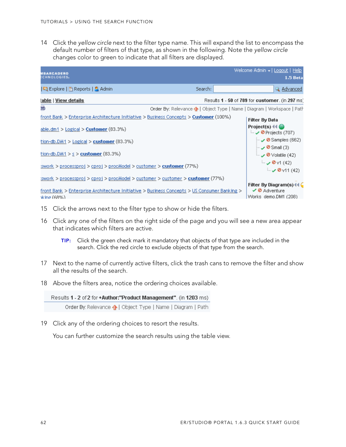14 Click the yellow circle next to the filter type name. This will expand the list to encompass the default number of filters of that type, as shown in the following. Note the yellow circle changes color to green to indicate that all filters are displayed.

| <b>MBARCADERO</b><br>CHNOLOGIES.                                                                            |                                                                         | Welcome Admin +   Logout   Help<br>1.5 Beta                                  |
|-------------------------------------------------------------------------------------------------------------|-------------------------------------------------------------------------|------------------------------------------------------------------------------|
| 텍 Explore   B Reports   및 Admin                                                                             | Search:                                                                 | <b>Q</b> Advanced                                                            |
| table   View details                                                                                        |                                                                         | Results 1 - 50 of 789 for customer. (in 297 ms)                              |
| 름                                                                                                           | Order By: Relevance ↑   Object Type   Name   Diagram   Workspace   Path |                                                                              |
| front Bank > Enterprise Architecture Initiative > Business Concepts > Customer (100%)                       |                                                                         | <b>Filter By Data</b>                                                        |
| $able.dim1 >$ Logical $>$ Customer (83.3%)                                                                  |                                                                         | Project(s) $\blacksquare$<br>$\sim$ ⊘ Projects (707)                         |
| $\frac{1}{2}$ tion-db.DM1 > Logical > customer (83.3%)                                                      |                                                                         | $\sim$ <b>O</b> Samples (662)<br>$\sim$ 0 Small (3)                          |
| $\frac{\text{tion-db.DM1}}{2} > \frac{\text{customer}}{2}$ (83.3%)                                          |                                                                         | $\sim$ ⊘ $\vee$ olatile (42)                                                 |
| swork > processproj > cproj > procModel > customer > <b>customer</b> (77%)                                  |                                                                         | $\sim$ 0 v1 (42)<br>$\sim$ ⊘ v11 (42)                                        |
| swork > processproj > cproj > procModel > customer > customer > <b>customer</b> (77%)                       |                                                                         |                                                                              |
| front Bank > Enterprise Architecture Initiative > Business Concepts > US Consumer Banking ><br>hking (68%). |                                                                         | Filter By Diagram(s) 44<br>$\vee$ <b>Ø</b> Adventure<br>Works demo.DM1 (208) |

- 15 Click the arrows next to the filter type to show or hide the filters.
- 16 Click any one of the filters on the right side of the page and you will see a new area appear that indicates which filters are active.
	- **TIP:** Click the green check mark it mandatory that objects of that type are included in the search. Click the red circle to exclude objects of that type from the search.
- 17 Next to the name of currently active filters, click the trash cans to remove the filter and show all the results of the search.
- 18 Above the filters area, notice the ordering choices available.

Results 1 - 2 of 2 for +Author: "Product Management". (in 1203 ms) 

19 Click any of the ordering choices to resort the results.

You can further customize the search results using the table view.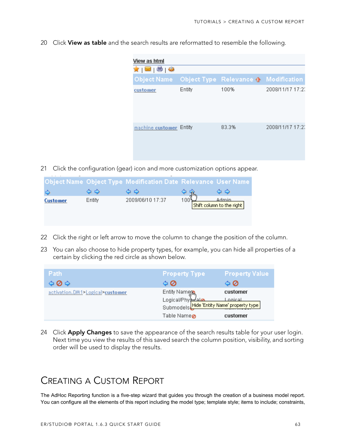20 Click **View as table** and the search results are reformatted to resemble the following.

| View as html       |        |                                      |                  |
|--------------------|--------|--------------------------------------|------------------|
| ∣⊠∣⊜∣©             |        |                                      |                  |
| <b>Object Name</b> |        | Object Type Relevance 1 Modification |                  |
| customer           | Entity | 100%                                 | 2008/11/17 17:23 |
| machine customer   | Entity | 83.3%                                | 2008/11/17 17:20 |

21 Click the configuration (gear) icon and more customization options appear.

|                 |        | Object Name Object Type Modification Date Relevance User Name |                                                   |
|-----------------|--------|---------------------------------------------------------------|---------------------------------------------------|
|                 |        | o o                                                           |                                                   |
| <b>Customer</b> | Entity | 2009/06/10 17:37                                              | <u>  / admin  </u><br>  Shift column to the right |

- 22 Click the right or left arrow to move the column to change the position of the column.
- 23 You can also choose to hide property types, for example, you can hide all properties of a certain by clicking the red circle as shown below.

| <b>Path</b>                      | Property Type                                                                                                                  | <b>Property Value</b> |
|----------------------------------|--------------------------------------------------------------------------------------------------------------------------------|-----------------------|
| ధ⊘ ధ                             | 40                                                                                                                             | 40                    |
| activation. DM1>Logical>customer |                                                                                                                                |                       |
|                                  | Entity Namerical Control Customer<br>Logical/Phy <del>an</del> ale Logical Logical<br>Submodels Hide Entity Name property type |                       |
|                                  |                                                                                                                                |                       |
|                                  | Table Name $\otimes$                                                                                                           | customer              |

24 Click **Apply Changes** to save the appearance of the search results table for your user login. Next time you view the results of this saved search the column position, visibility, and sorting order will be used to display the results.

# CREATING A CUSTOM REPORT

[The AdHoc Reporting function is a five-step wizard that guides you through the creation of a business model report.](mailto:sales@embarcadero.com) [You can configure all the element](mailto:sales@embarcadero.com)[s of this report including the model type; template style; items to include; constraints,](mailto:uk.sales@embarcadero.com)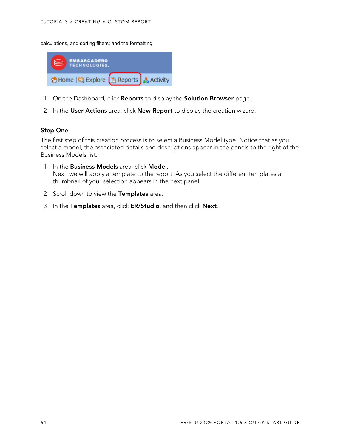[calculations, and sorting filters; and the formatting.](mailto:uk.sales@embarcadero.com) 



- 1 On the Dashboard, click **Reports** to display the **Solution Browser** page.
- 2 In the **User Actions** area, click **New Report** to display the creation wizard.

### **Step One**

The first step of this creation process is to select a Business Model type. Notice that as you [select a model, the associated details and descriptions appear in the panels to the right of the](http://www.embarcadero.com/jive/kbcategory.jspa?categoryID=1)  Business Models list.

- 1 In the **Business Models** area, click **Model**[.](http://www.embarcadero.com/jive/forumindex.jspa) [Next, we will apply a template to the report. As you select the different templates a](http://www.embarcadero.com/jive/forumindex.jspa)  thumbnail of your selection appears in the next panel.
- 2 Scroll down to view the **Templates** area.
- 3 In the **Templates** area, click **ER/Studio**, and then click **Next**.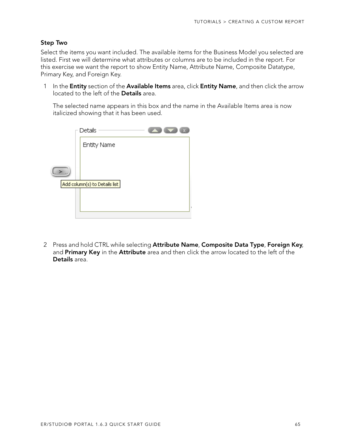### **Step Two**

[Select the items you want included. The available items for the Business Model you selected are](http://www.embarcadero.com/)  listed. First we will determine what attributes or columns are to be included in the report. For this exercise we want the report to show Entity Name, Attribute Name, Composite Datatype, Primary Key, and Foreign Key.

1 In the **Entity** section of the **Available Items** area, click **Entity Name**, and then click the arrow located to the left of the **Details** area.

The selected name appears in this box and the name in the Available Items area is now italicized showing that it has been used.

| <b>Details</b>                |   |
|-------------------------------|---|
| Entity Name                   |   |
|                               |   |
|                               |   |
| Add column(s) to Details list |   |
|                               |   |
|                               | × |

2 Press and hold CTRL while selecting **Attribute Name**, **Composite Data Type**, **Foreign Key**, and **Primary Key** in the **Attribute** area and then click the arrow located to the left of the **Details** area.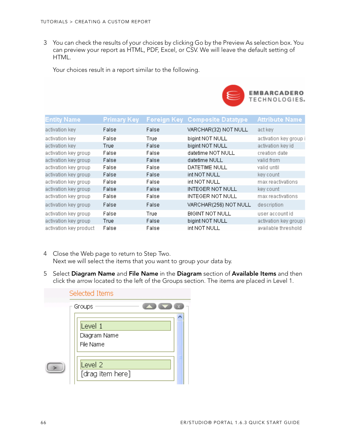3 You can check the results of your choices by clicking Go by the Preview As selection box. You can preview your report as HTML, PDF, Excel, or CSV. We will leave the default setting of HTML.

Your choices result in a report similar to the following.



| <b>Entity Name</b>     | <b>Primary Key</b> |       | Foreign Key Composite Datatype | <b>Attribute Name</b> |
|------------------------|--------------------|-------|--------------------------------|-----------------------|
| activation key         | False              | False | VARCHAR(32) NOT NULL           | act key               |
| activation key         | False              | True  | bigint NOT NULL                | activation key group  |
| activation key         | True               | False | bigint NOT NULL                | activation key id     |
| activation key group   | False              | False | datetime NOT NULL              | creation date         |
| activation key group   | False              | False | datetime NULL                  | valid from            |
| activation key group   | False              | False | DATETIME NULL                  | valid until           |
| activation key group   | False              | False | int NOT NULL                   | key count             |
| activation key group   | False              | False | int NOT NULL                   | max reactivations     |
| activation key group   | False              | False | INTEGER NOT NULL               | key count             |
| activation key group   | False              | False | INTEGER NOT NULL               | max reactivations     |
| activation key group   | False              | False | VARCHAR(256) NOT NULL          | description           |
| activation key group   | False              | True  | BIGINT NOT NULL                | user account id       |
| activation key group   | True               | False | bigint NOT NULL                | activation key group  |
| activation key product | False              | False | int NOT NULL                   | available threshold   |

- 4 Close the Web page to return to Step Two. Next we will select the items that you want to group your data by.
- 5 Select **Diagram Name** and **File Name** in the **Diagram** section of **Available Items** and then click the arrow located to the left of the Groups section. The items are placed in Level 1.

| Selected Items                         |  |
|----------------------------------------|--|
| Groups                                 |  |
| Level 1<br>Diagram Name<br>File Name   |  |
| Level <sub>2</sub><br>[drag item here] |  |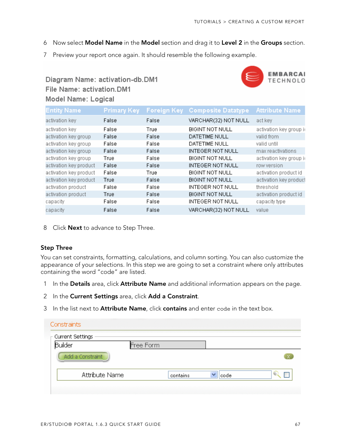- 6 Now select **Model Name** in the **Model** section and drag it to **Level 2** in the **Groups** section.
- 7 Preview your report once again. It should resemble the following example.

## Diagram Name: activation-db.DM1 File Name: activation.DM1 Model Name: Logical



| <b>Entity Name</b>     | Primary Key |       | Foreign Key Composite Datatype | <b>Attribute Name</b>   |
|------------------------|-------------|-------|--------------------------------|-------------------------|
| activation key         | False       | False | VARCHAR(32) NOT NULL           | act key                 |
| activation key         | False       | True  | <b>BIGINT NOT NULL</b>         | activation key group in |
| activation key group   | False       | False | DATETIME NULL                  | valid from              |
| activation key group   | False       | False | DATETIME NULL                  | valid until             |
| activation key group   | False       | False | INTEGER NOT NULL               | max reactivations       |
| activation key group   | True        | False | BIGINT NOT NULL                | activation key group is |
| activation key product | False       | False | INTEGER NOT NULL               | row version             |
| activation key product | False       | True  | BIGINT NOT NULL                | activation product id   |
| activation key product | True        | False | <b>BIGINT NOT NULL</b>         | activation key product  |
| activation product     | False       | False | <b>INTEGER NOT NULL</b>        | threshold               |
| activation product     | True        | False | <b>BIGINT NOT NULL</b>         | activation product id   |
| capacity               | False       | False | <b>INTEGER NOT NULL</b>        | capacity type           |
| capacity               | False       | False | VARCHAR(32) NOT NULL           | value                   |

8 Click **Next** to advance to Step Three.

### **Step Three**

You can set constraints, formatting, calculations, and column sorting. You can also customize the appearance of your selections. In this step we are going to set a constraint where only attributes containing the word "code" are listed.

- 1 In the **Details** area, click **Attribute Name** and additional information appears on the page.
- 2 In the **Current Settings** area, click **Add a Constraint**.
- 3 In the list next to **Attribute Name**, click **contains** and enter code in the text box.

| $\vdash$ Current Settings |           |          |      |  |
|---------------------------|-----------|----------|------|--|
| Builder                   | Free Form |          |      |  |
| Add a Constraint          |           |          |      |  |
| Attribute Name            |           | contains | code |  |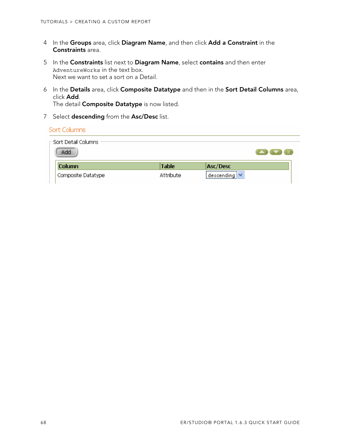- 4 In the **Groups** area, click **Diagram Name**, and then click **Add a Constraint** in the **Constraints** area.
- 5 In the **Constraints** list next to **Diagram Name**, select **contains** and then enter AdventureWorks in the text box. Next we want to set a sort on a Detail.
- 6 In the **Details** area, click **Composite Datatype** and then in the **Sort Detail Columns** area, click **Add**. The detail **Composite Datatype** is now listed.
- 7 Select **descending** from the **Asc/Desc** list.

## Sort Columns

| Sort Detail Columns<br>Add |              |                                                       | $\sum_{i=1}^{n}$ |
|----------------------------|--------------|-------------------------------------------------------|------------------|
| <b>Column</b>              | <b>Table</b> | Asc/Desc                                              |                  |
| Composite Datatype         | Attribute    | ,,,,,,,,,,,,,,,,,,,,,,,,,,,,,,,,,,,<br>$degree$ nding |                  |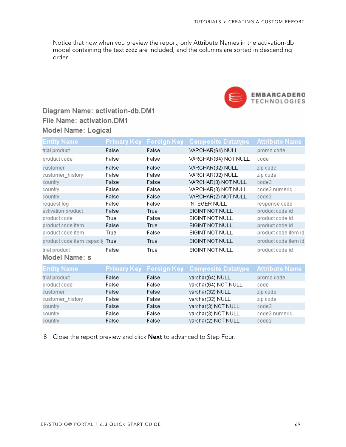Notice that now when you preview the report, only Attribute Names in the activation-db model containing the text code are included, and the columns are sorted in descending order.



## Diagram Name: activation-db.DM1 File Name: activation.DM1 Model Name: Logical

| <b>Entity Name</b>              | Primary Key        | Foreign Key | <b>Composite Datatype</b> | <b>Attribute Name</b> |
|---------------------------------|--------------------|-------------|---------------------------|-----------------------|
| trial product                   | False              | False       | VARCHAR(64) NULL          | promo code            |
| product code                    | False              | False       | VARCHAR(64) NOT NULL      | code                  |
| customer                        | False              | False       | VARCHAR(32) NULL          | zip code              |
| customer_history                | False              | False       | VARCHAR(32) NULL          | zip code              |
| country                         | False              | False       | VARCHAR(3) NOT NULL       | code3                 |
| country                         | False              | False       | VARCHAR(3) NOT NULL       | code3 numeric         |
| country                         | False              | False       | VARCHAR(2) NOT NULL       | code2                 |
| request log                     | False              | False       | <b>INTEGER NULL</b>       | response code         |
| activation product              | False              | True        | <b>BIGINT NOT NULL</b>    | product code id       |
| product code                    | True               | False       | <b>BIGINT NOT NULL</b>    | product code id       |
| product code item               | False              | True        | <b>BIGINT NOT NULL</b>    | product code id       |
| product code item               | True               | False       | <b>BIGINT NOT NULL</b>    | product code item id  |
| product code item capacity True |                    | True        | <b>BIGINT NOT NULL</b>    | product code item id  |
| trial product<br>Model Name: s  | False              | True        | <b>BIGINT NOT NULL</b>    | product code id       |
|                                 |                    |             |                           |                       |
| Entity Name                     | <b>Primary Key</b> | Foreign Key | <b>Composite Datatype</b> | <b>Attribute Name</b> |
| trial product                   | False              | False       | varchar(64) NULL          | promo code            |
| product code                    | False              | False       | varchar(64) NOT NULL      | code                  |
| customer                        | False              | False       | varchar(32) NULL          | zip code              |
| customer_history                | False              | False       | varchar(32) NULL          | zip code              |
| country                         | False              | False       | varchar(3) NOT NULL       | code3                 |
| country                         | False              | False       | varchar(3) NOT NULL       | code3 numeric         |
| country                         | False              | False       | varchar(2) NOT NULL       | code2                 |

8 Close the report preview and click **Next** to advanced to Step Four.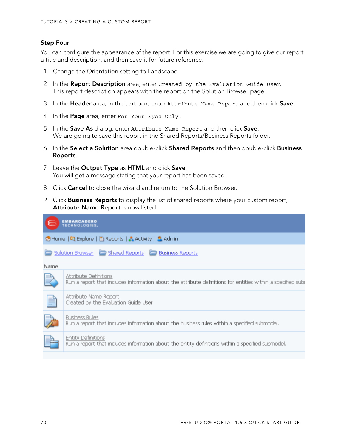### **Step Four**

You can configure the appearance of the report. For this exercise we are going to give our report a title and description, and then save it for future reference.

- 1 Change the Orientation setting to Landscape.
- 2 In the **Report Description** area, enter Created by the Evaluation Guide User. This report description appears with the report on the Solution Browser page.
- 3 In the **Header** area, in the text box, enter Attribute Name Report and then click **Save**.
- 4 In the **Page** area, enter For Your Eyes Only.
- 5 In the **Save As** dialog, enter Attribute Name Report and then click **Save**. We are going to save this report in the Shared Reports/Business Reports folder.
- 6 In the **Select a Solution** area double-click **Shared Reports** and then double-click **Business Reports**.
- 7 Leave the **Output Type** as **HTML** and click **Save**. You will get a message stating that your report has been saved.
- 8 Click **Cancel** to close the wizard and return to the Solution Browser.
- 9 Click **Business Reports** to display the list of shared reports where your custom report, **Attribute Name Report** is now listed.

|                                                                   | <b>EMBARCADERO</b><br>TECHNOLOGIES.                                                                                                         |  |  |  |
|-------------------------------------------------------------------|---------------------------------------------------------------------------------------------------------------------------------------------|--|--|--|
| ↑ Home   2 Explore   E Reports   & Activity   3 Admin             |                                                                                                                                             |  |  |  |
| Solution Browser <b>Comp Shared Reports Comp Business Reports</b> |                                                                                                                                             |  |  |  |
| Name                                                              |                                                                                                                                             |  |  |  |
|                                                                   | <b>Attribute Definitions</b><br>Run a report that includes information about the attribute definitions for entities within a specified subr |  |  |  |
| F                                                                 | Attribute Name Report<br>Created by the Evaluation Guide User                                                                               |  |  |  |
|                                                                   | <b>Business Rules</b><br>Run a report that includes information about the business rules within a specified submodel.                       |  |  |  |
|                                                                   | <b>Entity Definitions</b><br>Run a report that includes information about the entity definitions within a specified submodel.               |  |  |  |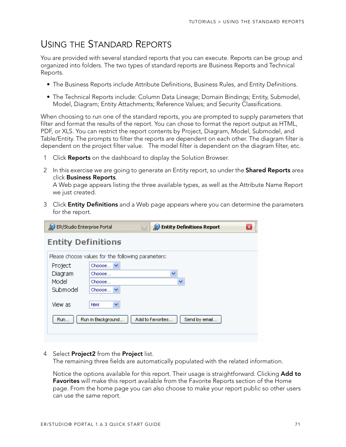# USING THE STANDARD REPORTS

You are provided with several standard reports that you can execute. Reports can be group and organized into folders. The two types of standard reports are Business Reports and Technical Reports.

- The Business Reports include Attribute Definitions, Business Rules, and Entity Definitions.
- The Technical Reports include: Column Data Lineage; Domain Bindings; Entity, Submodel, Model, Diagram; Entity Attachments; Reference Values; and Security Classifications.

When choosing to run one of the standard reports, you are prompted to supply parameters that filter and format the results of the report. You can chose to format the report output as HTML, PDF, or XLS. You can restrict the report contents by Project, Diagram, Model, Submodel, and Table/Entity. The prompts to filter the reports are dependent on each other. The diagram filter is dependent on the project filter value. The model filter is dependent on the diagram filter, etc.

- 1 Click **Reports** on the dashboard to display the Solution Browser.
- 2 In this exercise we are going to generate an Entity report, so under the **Shared Reports** area click **Business Reports**.

A Web page appears listing the three available types, as well as the Attribute Name Report we just created.

3 Click **Entity Definitions** and a Web page appears where you can determine the parameters for the report.

| ER/Studio Enterprise Portal<br><b>B</b> Entity Definitions Report<br>83               |             |  |  |  |
|---------------------------------------------------------------------------------------|-------------|--|--|--|
| <b>Entity Definitions</b>                                                             |             |  |  |  |
| Please choose values for the following parameters:                                    |             |  |  |  |
| Project                                                                               | Choose V    |  |  |  |
| Diagram                                                                               | Choose<br>v |  |  |  |
| Model                                                                                 | Choose<br>v |  |  |  |
| Submodel                                                                              | Choose V    |  |  |  |
| View as<br>html<br>v<br>Add to Favorites<br>Send by email<br>Run in Background<br>Run |             |  |  |  |

### 4 Select **Project2** from the **Project** list.

The remaining three fields are automatically populated with the related information.

Notice the options available for this report. Their usage is straightforward. Clicking **Add to Favorites** will make this report available from the Favorite Reports section of the Home page. From the home page you can also choose to make your report public so other users can use the same report.